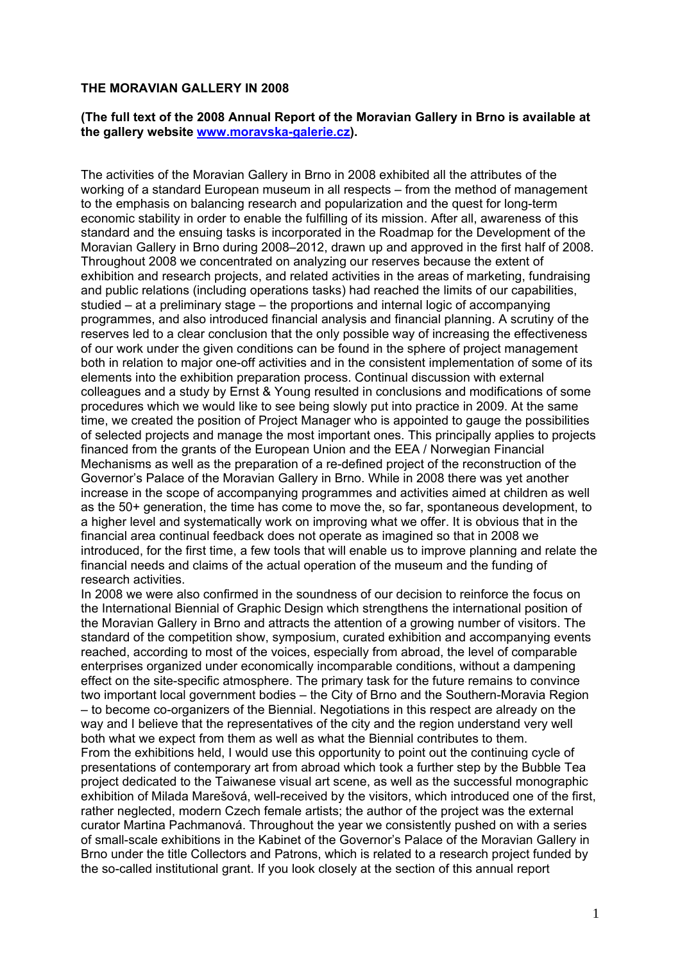#### **THE MORAVIAN GALLERY IN 2008**

### **(The full text of the 2008 Annual Report of the Moravian Gallery in Brno is available at the gallery website www.moravska-galerie.cz).**

The activities of the Moravian Gallery in Brno in 2008 exhibited all the attributes of the working of a standard European museum in all respects – from the method of management to the emphasis on balancing research and popularization and the quest for long-term economic stability in order to enable the fulfilling of its mission. After all, awareness of this standard and the ensuing tasks is incorporated in the Roadmap for the Development of the Moravian Gallery in Brno during 2008–2012, drawn up and approved in the first half of 2008. Throughout 2008 we concentrated on analyzing our reserves because the extent of exhibition and research projects, and related activities in the areas of marketing, fundraising and public relations (including operations tasks) had reached the limits of our capabilities, studied – at a preliminary stage – the proportions and internal logic of accompanying programmes, and also introduced financial analysis and financial planning. A scrutiny of the reserves led to a clear conclusion that the only possible way of increasing the effectiveness of our work under the given conditions can be found in the sphere of project management both in relation to major one-off activities and in the consistent implementation of some of its elements into the exhibition preparation process. Continual discussion with external colleagues and a study by Ernst & Young resulted in conclusions and modifications of some procedures which we would like to see being slowly put into practice in 2009. At the same time, we created the position of Project Manager who is appointed to gauge the possibilities of selected projects and manage the most important ones. This principally applies to projects financed from the grants of the European Union and the EEA / Norwegian Financial Mechanisms as well as the preparation of a re-defined project of the reconstruction of the Governor's Palace of the Moravian Gallery in Brno. While in 2008 there was yet another increase in the scope of accompanying programmes and activities aimed at children as well as the 50+ generation, the time has come to move the, so far, spontaneous development, to a higher level and systematically work on improving what we offer. It is obvious that in the financial area continual feedback does not operate as imagined so that in 2008 we introduced, for the first time, a few tools that will enable us to improve planning and relate the financial needs and claims of the actual operation of the museum and the funding of research activities.

In 2008 we were also confirmed in the soundness of our decision to reinforce the focus on the International Biennial of Graphic Design which strengthens the international position of the Moravian Gallery in Brno and attracts the attention of a growing number of visitors. The standard of the competition show, symposium, curated exhibition and accompanying events reached, according to most of the voices, especially from abroad, the level of comparable enterprises organized under economically incomparable conditions, without a dampening effect on the site-specific atmosphere. The primary task for the future remains to convince two important local government bodies – the City of Brno and the Southern-Moravia Region – to become co-organizers of the Biennial. Negotiations in this respect are already on the way and I believe that the representatives of the city and the region understand very well both what we expect from them as well as what the Biennial contributes to them. From the exhibitions held, I would use this opportunity to point out the continuing cycle of presentations of contemporary art from abroad which took a further step by the Bubble Tea project dedicated to the Taiwanese visual art scene, as well as the successful monographic exhibition of Milada Marešová, well-received by the visitors, which introduced one of the first, rather neglected, modern Czech female artists; the author of the project was the external curator Martina Pachmanová. Throughout the year we consistently pushed on with a series of small-scale exhibitions in the Kabinet of the Governor's Palace of the Moravian Gallery in Brno under the title Collectors and Patrons, which is related to a research project funded by the so-called institutional grant. If you look closely at the section of this annual report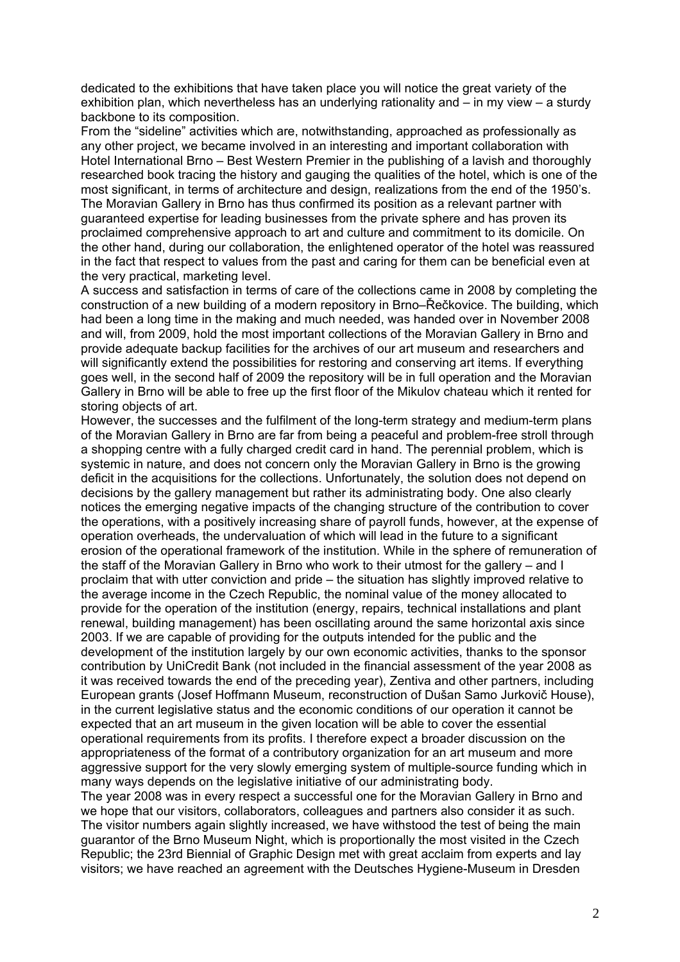dedicated to the exhibitions that have taken place you will notice the great variety of the exhibition plan, which nevertheless has an underlying rationality and – in my view – a sturdy backbone to its composition.

From the "sideline" activities which are, notwithstanding, approached as professionally as any other project, we became involved in an interesting and important collaboration with Hotel International Brno – Best Western Premier in the publishing of a lavish and thoroughly researched book tracing the history and gauging the qualities of the hotel, which is one of the most significant, in terms of architecture and design, realizations from the end of the 1950's. The Moravian Gallery in Brno has thus confirmed its position as a relevant partner with guaranteed expertise for leading businesses from the private sphere and has proven its proclaimed comprehensive approach to art and culture and commitment to its domicile. On the other hand, during our collaboration, the enlightened operator of the hotel was reassured in the fact that respect to values from the past and caring for them can be beneficial even at the very practical, marketing level.

A success and satisfaction in terms of care of the collections came in 2008 by completing the construction of a new building of a modern repository in Brno–Řečkovice. The building, which had been a long time in the making and much needed, was handed over in November 2008 and will, from 2009, hold the most important collections of the Moravian Gallery in Brno and provide adequate backup facilities for the archives of our art museum and researchers and will significantly extend the possibilities for restoring and conserving art items. If everything goes well, in the second half of 2009 the repository will be in full operation and the Moravian Gallery in Brno will be able to free up the first floor of the Mikulov chateau which it rented for storing objects of art.

However, the successes and the fulfilment of the long-term strategy and medium-term plans of the Moravian Gallery in Brno are far from being a peaceful and problem-free stroll through a shopping centre with a fully charged credit card in hand. The perennial problem, which is systemic in nature, and does not concern only the Moravian Gallery in Brno is the growing deficit in the acquisitions for the collections. Unfortunately, the solution does not depend on decisions by the gallery management but rather its administrating body. One also clearly notices the emerging negative impacts of the changing structure of the contribution to cover the operations, with a positively increasing share of payroll funds, however, at the expense of operation overheads, the undervaluation of which will lead in the future to a significant erosion of the operational framework of the institution. While in the sphere of remuneration of the staff of the Moravian Gallery in Brno who work to their utmost for the gallery – and I proclaim that with utter conviction and pride – the situation has slightly improved relative to the average income in the Czech Republic, the nominal value of the money allocated to provide for the operation of the institution (energy, repairs, technical installations and plant renewal, building management) has been oscillating around the same horizontal axis since 2003. If we are capable of providing for the outputs intended for the public and the development of the institution largely by our own economic activities, thanks to the sponsor contribution by UniCredit Bank (not included in the financial assessment of the year 2008 as it was received towards the end of the preceding year), Zentiva and other partners, including European grants (Josef Hoffmann Museum, reconstruction of Dušan Samo Jurkovič House), in the current legislative status and the economic conditions of our operation it cannot be expected that an art museum in the given location will be able to cover the essential operational requirements from its profits. I therefore expect a broader discussion on the appropriateness of the format of a contributory organization for an art museum and more aggressive support for the very slowly emerging system of multiple-source funding which in many ways depends on the legislative initiative of our administrating body.

The year 2008 was in every respect a successful one for the Moravian Gallery in Brno and we hope that our visitors, collaborators, colleagues and partners also consider it as such. The visitor numbers again slightly increased, we have withstood the test of being the main guarantor of the Brno Museum Night, which is proportionally the most visited in the Czech Republic; the 23rd Biennial of Graphic Design met with great acclaim from experts and lay visitors; we have reached an agreement with the Deutsches Hygiene-Museum in Dresden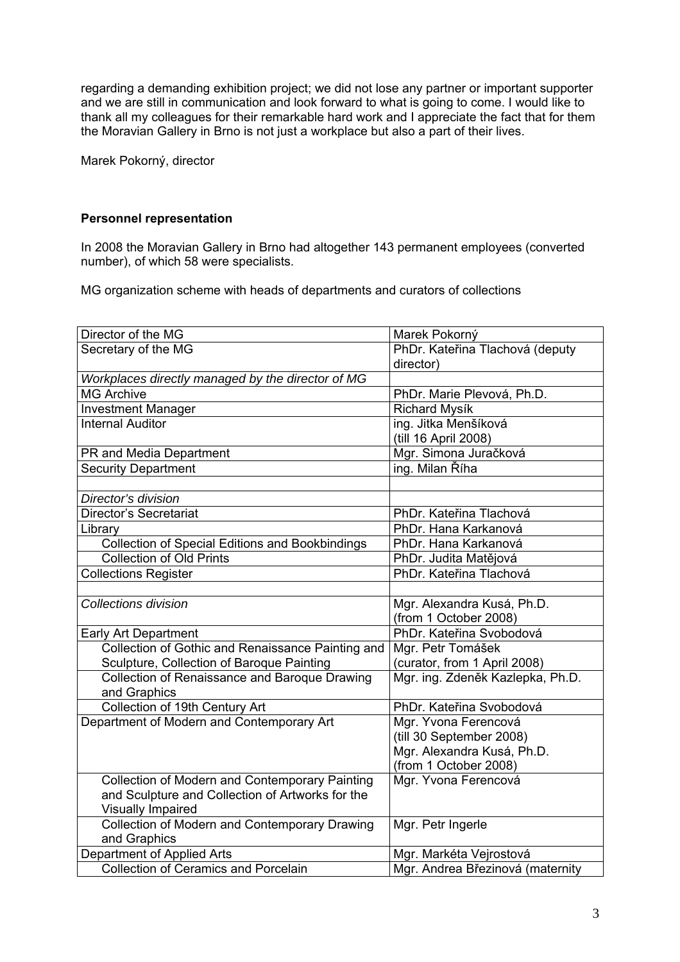regarding a demanding exhibition project; we did not lose any partner or important supporter and we are still in communication and look forward to what is going to come. I would like to thank all my colleagues for their remarkable hard work and I appreciate the fact that for them the Moravian Gallery in Brno is not just a workplace but also a part of their lives.

Marek Pokorný, director

## **Personnel representation**

In 2008 the Moravian Gallery in Brno had altogether 143 permanent employees (converted number), of which 58 were specialists.

MG organization scheme with heads of departments and curators of collections

| Director of the MG                                     | Marek Pokorný                    |
|--------------------------------------------------------|----------------------------------|
| Secretary of the MG                                    | PhDr. Kateřina Tlachová (deputy  |
|                                                        | director)                        |
| Workplaces directly managed by the director of MG      |                                  |
| <b>MG Archive</b>                                      | PhDr. Marie Plevová, Ph.D.       |
| <b>Investment Manager</b>                              | Richard Mysík                    |
| <b>Internal Auditor</b>                                | ing. Jitka Menšíková             |
|                                                        | (till 16 April 2008)             |
| PR and Media Department                                | Mgr. Simona Juračková            |
| <b>Security Department</b>                             | ing. Milan Říha                  |
|                                                        |                                  |
| Director's division                                    |                                  |
| <b>Director's Secretariat</b>                          | PhDr. Kateřina Tlachová          |
| Library                                                | PhDr. Hana Karkanová             |
| <b>Collection of Special Editions and Bookbindings</b> | PhDr. Hana Karkanová             |
| <b>Collection of Old Prints</b>                        | PhDr. Judita Matějová            |
| <b>Collections Register</b>                            | PhDr. Kateřina Tlachová          |
|                                                        |                                  |
| <b>Collections division</b>                            | Mgr. Alexandra Kusá, Ph.D.       |
|                                                        | (from 1 October 2008)            |
| Early Art Department                                   | PhDr. Kateřina Svobodová         |
| Collection of Gothic and Renaissance Painting and      | Mgr. Petr Tomášek                |
| Sculpture, Collection of Baroque Painting              | (curator, from 1 April 2008)     |
| Collection of Renaissance and Baroque Drawing          | Mgr. ing. Zdeněk Kazlepka, Ph.D. |
| and Graphics                                           |                                  |
| Collection of 19th Century Art                         | PhDr. Kateřina Svobodová         |
| Department of Modern and Contemporary Art              | Mgr. Yvona Ferencová             |
|                                                        | (till 30 September 2008)         |
|                                                        | Mgr. Alexandra Kusá, Ph.D.       |
|                                                        | (from 1 October 2008)            |
| Collection of Modern and Contemporary Painting         | Mgr. Yvona Ferencová             |
| and Sculpture and Collection of Artworks for the       |                                  |
| <b>Visually Impaired</b>                               |                                  |
| Collection of Modern and Contemporary Drawing          | Mgr. Petr Ingerle                |
| and Graphics                                           |                                  |
| Department of Applied Arts                             | Mgr. Markéta Vejrostová          |
| <b>Collection of Ceramics and Porcelain</b>            | Mgr. Andrea Březinová (maternity |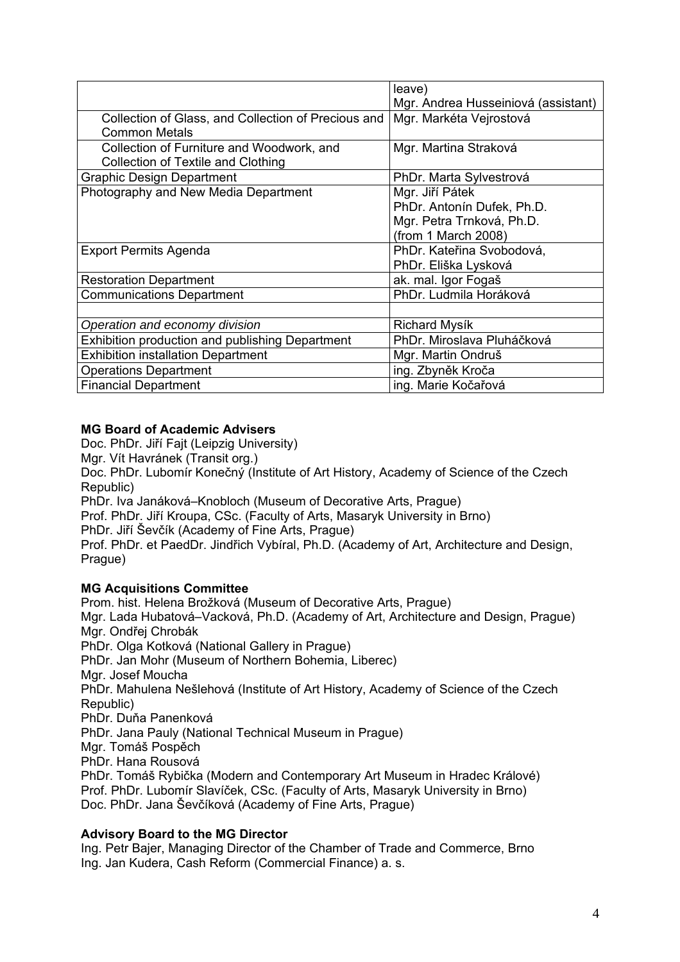|                                                        | leave)                              |
|--------------------------------------------------------|-------------------------------------|
|                                                        | Mgr. Andrea Husseiniová (assistant) |
| Collection of Glass, and Collection of Precious and    | Mgr. Markéta Vejrostová             |
| <b>Common Metals</b>                                   |                                     |
| Collection of Furniture and Woodwork, and              | Mgr. Martina Straková               |
| Collection of Textile and Clothing                     |                                     |
| <b>Graphic Design Department</b>                       | PhDr. Marta Sylvestrová             |
| Photography and New Media Department                   | Mgr. Jiří Pátek                     |
|                                                        | PhDr. Antonín Dufek, Ph.D.          |
|                                                        | Mgr. Petra Trnková, Ph.D.           |
|                                                        | (from 1 March 2008)                 |
| <b>Export Permits Agenda</b>                           | PhDr. Kateřina Svobodová,           |
|                                                        | PhDr. Eliška Lysková                |
| <b>Restoration Department</b>                          | ak. mal. Igor Fogaš                 |
| <b>Communications Department</b>                       | PhDr. Ludmila Horáková              |
|                                                        |                                     |
| Operation and economy division                         | Richard Mysík                       |
| <b>Exhibition production and publishing Department</b> | PhDr. Miroslava Pluháčková          |
| <b>Exhibition installation Department</b>              | Mgr. Martin Ondruš                  |
| <b>Operations Department</b>                           | ing. Zbyněk Kroča                   |
| <b>Financial Department</b>                            | ing. Marie Kočařová                 |

# **MG Board of Academic Advisers**

Doc. PhDr. Jiří Fajt (Leipzig University)

Mgr. Vít Havránek (Transit org.)

Doc. PhDr. Lubomír Konečný (Institute of Art History, Academy of Science of the Czech Republic)

PhDr. Iva Janáková–Knobloch (Museum of Decorative Arts, Prague)

Prof. PhDr. Jiří Kroupa, CSc. (Faculty of Arts, Masaryk University in Brno)

PhDr. Jiří Ševčík (Academy of Fine Arts, Prague)

Prof. PhDr. et PaedDr. Jindřich Vybíral, Ph.D. (Academy of Art, Architecture and Design, Prague)

## **MG Acquisitions Committee**

Prom. hist. Helena Brožková (Museum of Decorative Arts, Prague) Mgr. Lada Hubatová–Vacková, Ph.D. (Academy of Art, Architecture and Design, Prague) Mgr. Ondřej Chrobák PhDr. Olga Kotková (National Gallery in Prague) PhDr. Jan Mohr (Museum of Northern Bohemia, Liberec) Mgr. Josef Moucha PhDr. Mahulena Nešlehová (Institute of Art History, Academy of Science of the Czech Republic) PhDr. Duňa Panenková PhDr. Jana Pauly (National Technical Museum in Prague) Mgr. Tomáš Pospěch PhDr. Hana Rousová PhDr. Tomáš Rybička (Modern and Contemporary Art Museum in Hradec Králové) Prof. PhDr. Lubomír Slavíček, CSc. (Faculty of Arts, Masaryk University in Brno) Doc. PhDr. Jana Ševčíková (Academy of Fine Arts, Prague)

## **Advisory Board to the MG Director**

Ing. Petr Bajer, Managing Director of the Chamber of Trade and Commerce, Brno Ing. Jan Kudera, Cash Reform (Commercial Finance) a. s.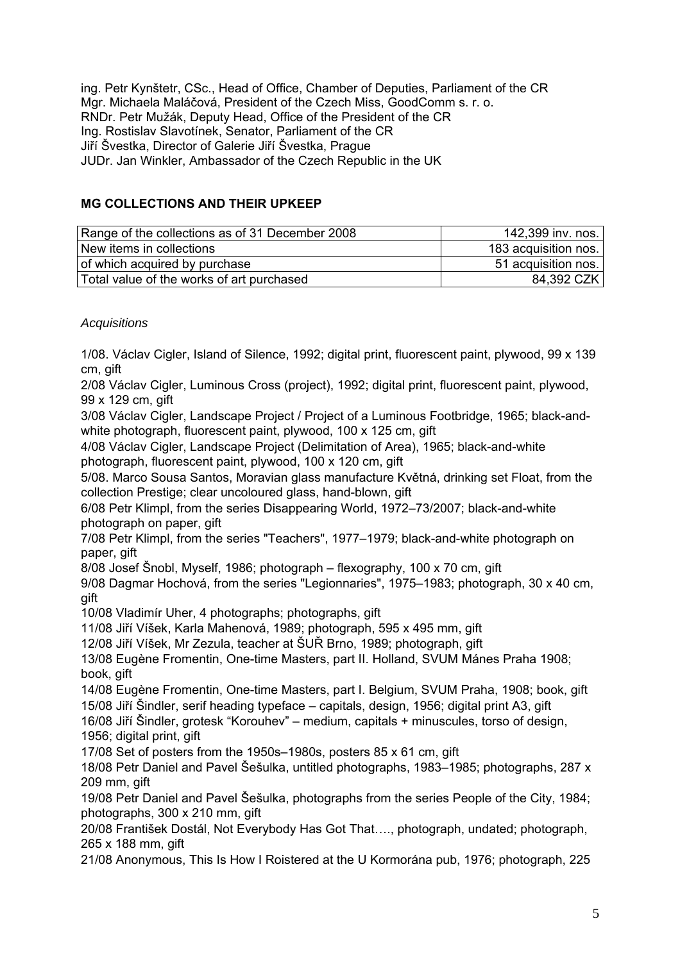ing. Petr Kynštetr, CSc., Head of Office, Chamber of Deputies, Parliament of the CR Mgr. Michaela Maláčová, President of the Czech Miss, GoodComm s. r. o. RNDr. Petr Mužák, Deputy Head, Office of the President of the CR Ing. Rostislav Slavotínek, Senator, Parliament of the CR Jiří Švestka, Director of Galerie Jiří Švestka, Prague JUDr. Jan Winkler, Ambassador of the Czech Republic in the UK

## **MG COLLECTIONS AND THEIR UPKEEP**

| Range of the collections as of 31 December 2008 | 142,399 inv. nos.    |
|-------------------------------------------------|----------------------|
| New items in collections                        | 183 acquisition nos. |
| of which acquired by purchase                   | 51 acquisition nos.  |
| Total value of the works of art purchased       | 84,392 CZK           |

## *Acquisitions*

1/08. Václav Cigler, Island of Silence, 1992; digital print, fluorescent paint, plywood, 99 x 139 cm, gift

2/08 Václav Cigler, Luminous Cross (project), 1992; digital print, fluorescent paint, plywood, 99 x 129 cm, gift

3/08 Václav Cigler, Landscape Project / Project of a Luminous Footbridge, 1965; black-andwhite photograph, fluorescent paint, plywood, 100 x 125 cm, gift

4/08 Václav Cigler, Landscape Project (Delimitation of Area), 1965; black-and-white photograph, fluorescent paint, plywood, 100 x 120 cm, gift

5/08. Marco Sousa Santos, Moravian glass manufacture Květná, drinking set Float, from the collection Prestige; clear uncoloured glass, hand-blown, gift

6/08 Petr Klimpl, from the series Disappearing World, 1972–73/2007; black-and-white photograph on paper, gift

7/08 Petr Klimpl, from the series "Teachers", 1977–1979; black-and-white photograph on paper, gift

8/08 Josef Šnobl, Myself, 1986; photograph – flexography, 100 x 70 cm, gift

9/08 Dagmar Hochová, from the series "Legionnaries", 1975–1983; photograph, 30 x 40 cm, gift

10/08 Vladimír Uher, 4 photographs; photographs, gift

11/08 Jiří Víšek, Karla Mahenová, 1989; photograph, 595 x 495 mm, gift

12/08 Jiří Víšek, Mr Zezula, teacher at ŠUŘ Brno, 1989; photograph, gift

13/08 Eugène Fromentin, One-time Masters, part II. Holland, SVUM Mánes Praha 1908; book, gift

14/08 Eugène Fromentin, One-time Masters, part I. Belgium, SVUM Praha, 1908; book, gift 15/08 Jiří Šindler, serif heading typeface – capitals, design, 1956; digital print A3, gift

16/08 Jiří Šindler, grotesk "Korouhev" – medium, capitals + minuscules, torso of design, 1956; digital print, gift

17/08 Set of posters from the 1950s–1980s, posters 85 x 61 cm, gift

18/08 Petr Daniel and Pavel Šešulka, untitled photographs, 1983–1985; photographs, 287 x 209 mm, gift

19/08 Petr Daniel and Pavel Šešulka, photographs from the series People of the City, 1984; photographs, 300 x 210 mm, gift

20/08 František Dostál, Not Everybody Has Got That…., photograph, undated; photograph, 265 x 188 mm, gift

21/08 Anonymous, This Is How I Roistered at the U Kormorána pub, 1976; photograph, 225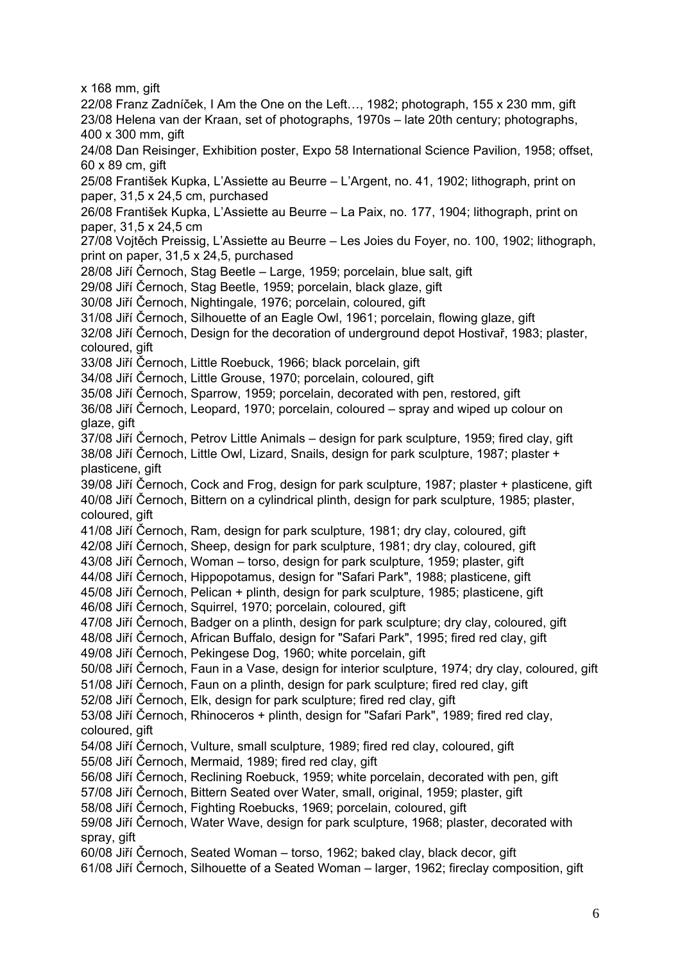x 168 mm, gift

22/08 Franz Zadníček, I Am the One on the Left…, 1982; photograph, 155 x 230 mm, gift 23/08 Helena van der Kraan, set of photographs, 1970s – late 20th century; photographs, 400 x 300 mm, gift 24/08 Dan Reisinger, Exhibition poster, Expo 58 International Science Pavilion, 1958; offset, 60 x 89 cm, gift 25/08 František Kupka, L'Assiette au Beurre – L'Argent, no. 41, 1902; lithograph, print on paper, 31,5 x 24,5 cm, purchased 26/08 František Kupka, L'Assiette au Beurre – La Paix, no. 177, 1904; lithograph, print on paper, 31,5 x 24,5 cm

27/08 Vojtěch Preissig, L'Assiette au Beurre – Les Joies du Foyer, no. 100, 1902; lithograph, print on paper, 31,5 x 24,5, purchased

28/08 Jiří Černoch, Stag Beetle – Large, 1959; porcelain, blue salt, gift

29/08 Jiří Černoch, Stag Beetle, 1959; porcelain, black glaze, gift

30/08 Jiří Černoch, Nightingale, 1976; porcelain, coloured, gift

31/08 Jiří Černoch, Silhouette of an Eagle Owl, 1961; porcelain, flowing glaze, gift

32/08 Jiří Černoch, Design for the decoration of underground depot Hostivař, 1983; plaster, coloured, gift

33/08 Jiří Černoch, Little Roebuck, 1966; black porcelain, gift

34/08 Jiří Černoch, Little Grouse, 1970; porcelain, coloured, gift

35/08 Jiří Černoch, Sparrow, 1959; porcelain, decorated with pen, restored, gift

36/08 Jiří Černoch, Leopard, 1970; porcelain, coloured – spray and wiped up colour on glaze, gift

37/08 Jiří Černoch, Petrov Little Animals – design for park sculpture, 1959; fired clay, gift 38/08 Jiří Černoch, Little Owl, Lizard, Snails, design for park sculpture, 1987; plaster + plasticene, gift

39/08 Jiří Černoch, Cock and Frog, design for park sculpture, 1987; plaster + plasticene, gift 40/08 Jiří Černoch, Bittern on a cylindrical plinth, design for park sculpture, 1985; plaster, coloured, gift

41/08 Jiří Černoch, Ram, design for park sculpture, 1981; dry clay, coloured, gift

42/08 Jiří Černoch, Sheep, design for park sculpture, 1981; dry clay, coloured, gift

43/08 Jiří Černoch, Woman – torso, design for park sculpture, 1959; plaster, gift

44/08 Jiří Černoch, Hippopotamus, design for "Safari Park", 1988; plasticene, gift 45/08 Jiří Černoch, Pelican + plinth, design for park sculpture, 1985; plasticene, gift

46/08 Jiří Černoch, Squirrel, 1970; porcelain, coloured, gift

47/08 Jiří Černoch, Badger on a plinth, design for park sculpture; dry clay, coloured, gift

48/08 Jiří Černoch, African Buffalo, design for "Safari Park", 1995; fired red clay, gift

49/08 Jiří Černoch, Pekingese Dog, 1960; white porcelain, gift

50/08 Jiří Černoch, Faun in a Vase, design for interior sculpture, 1974; dry clay, coloured, gift

51/08 Jiří Černoch, Faun on a plinth, design for park sculpture; fired red clay, gift

52/08 Jiří Černoch, Elk, design for park sculpture; fired red clay, gift

53/08 Jiří Černoch, Rhinoceros + plinth, design for "Safari Park", 1989; fired red clay, coloured, gift

54/08 Jiří Černoch, Vulture, small sculpture, 1989; fired red clay, coloured, gift

55/08 Jiří Černoch, Mermaid, 1989; fired red clay, gift

56/08 Jiří Černoch, Reclining Roebuck, 1959; white porcelain, decorated with pen, gift

57/08 Jiří Černoch, Bittern Seated over Water, small, original, 1959; plaster, gift

58/08 Jiří Černoch, Fighting Roebucks, 1969; porcelain, coloured, gift

59/08 Jiří Černoch, Water Wave, design for park sculpture, 1968; plaster, decorated with spray, gift

60/08 Jiří Černoch, Seated Woman – torso, 1962; baked clay, black decor, gift

61/08 Jiří Černoch, Silhouette of a Seated Woman – larger, 1962; fireclay composition, gift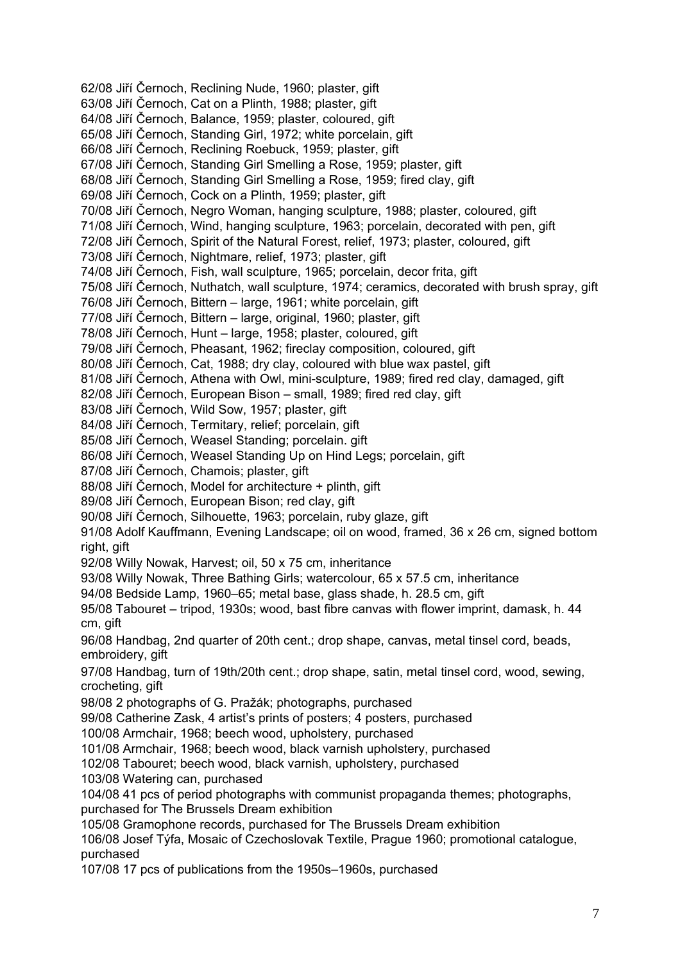62/08 Jiří Černoch, Reclining Nude, 1960; plaster, gift 63/08 Jiří Černoch, Cat on a Plinth, 1988; plaster, gift 64/08 Jiří Černoch, Balance, 1959; plaster, coloured, gift 65/08 Jiří Černoch, Standing Girl, 1972; white porcelain, gift 66/08 Jiří Černoch, Reclining Roebuck, 1959; plaster, gift 67/08 Jiří Černoch, Standing Girl Smelling a Rose, 1959; plaster, gift 68/08 Jiří Černoch, Standing Girl Smelling a Rose, 1959; fired clay, gift 69/08 Jiří Černoch, Cock on a Plinth, 1959; plaster, gift 70/08 Jiří Černoch, Negro Woman, hanging sculpture, 1988; plaster, coloured, gift 71/08 Jiří Černoch, Wind, hanging sculpture, 1963; porcelain, decorated with pen, gift 72/08 Jiří Černoch, Spirit of the Natural Forest, relief, 1973; plaster, coloured, gift 73/08 Jiří Černoch, Nightmare, relief, 1973; plaster, gift 74/08 Jiří Černoch, Fish, wall sculpture, 1965; porcelain, decor frita, gift 75/08 Jiří Černoch, Nuthatch, wall sculpture, 1974; ceramics, decorated with brush spray, gift 76/08 Jiří Černoch, Bittern – large, 1961; white porcelain, gift 77/08 Jiří Černoch, Bittern – large, original, 1960; plaster, gift 78/08 Jiří Černoch, Hunt – large, 1958; plaster, coloured, gift 79/08 Jiří Černoch, Pheasant, 1962; fireclay composition, coloured, gift 80/08 Jiří Černoch, Cat, 1988; dry clay, coloured with blue wax pastel, gift 81/08 Jiří Černoch, Athena with Owl, mini-sculpture, 1989; fired red clay, damaged, gift 82/08 Jiří Černoch, European Bison – small, 1989; fired red clay, gift 83/08 Jiří Černoch, Wild Sow, 1957; plaster, gift 84/08 Jiří Černoch, Termitary, relief; porcelain, gift 85/08 Jiří Černoch, Weasel Standing; porcelain. gift 86/08 Jiří Černoch, Weasel Standing Up on Hind Legs; porcelain, gift 87/08 Jiří Černoch, Chamois; plaster, gift 88/08 Jiří Černoch, Model for architecture + plinth, gift 89/08 Jiří Černoch, European Bison; red clay, gift 90/08 Jiří Černoch, Silhouette, 1963; porcelain, ruby glaze, gift 91/08 Adolf Kauffmann, Evening Landscape; oil on wood, framed, 36 x 26 cm, signed bottom right, gift 92/08 Willy Nowak, Harvest; oil, 50 x 75 cm, inheritance 93/08 Willy Nowak, Three Bathing Girls; watercolour, 65 x 57.5 cm, inheritance 94/08 Bedside Lamp, 1960–65; metal base, glass shade, h. 28.5 cm, gift 95/08 Tabouret – tripod, 1930s; wood, bast fibre canvas with flower imprint, damask, h. 44 cm, gift 96/08 Handbag, 2nd quarter of 20th cent.; drop shape, canvas, metal tinsel cord, beads, embroidery, gift 97/08 Handbag, turn of 19th/20th cent.; drop shape, satin, metal tinsel cord, wood, sewing, crocheting, gift 98/08 2 photographs of G. Pražák; photographs, purchased 99/08 Catherine Zask, 4 artist's prints of posters; 4 posters, purchased 100/08 Armchair, 1968; beech wood, upholstery, purchased 101/08 Armchair, 1968; beech wood, black varnish upholstery, purchased 102/08 Tabouret; beech wood, black varnish, upholstery, purchased 103/08 Watering can, purchased 104/08 41 pcs of period photographs with communist propaganda themes; photographs, purchased for The Brussels Dream exhibition 105/08 Gramophone records, purchased for The Brussels Dream exhibition 106/08 Josef Týfa, Mosaic of Czechoslovak Textile, Prague 1960; promotional catalogue, purchased 107/08 17 pcs of publications from the 1950s–1960s, purchased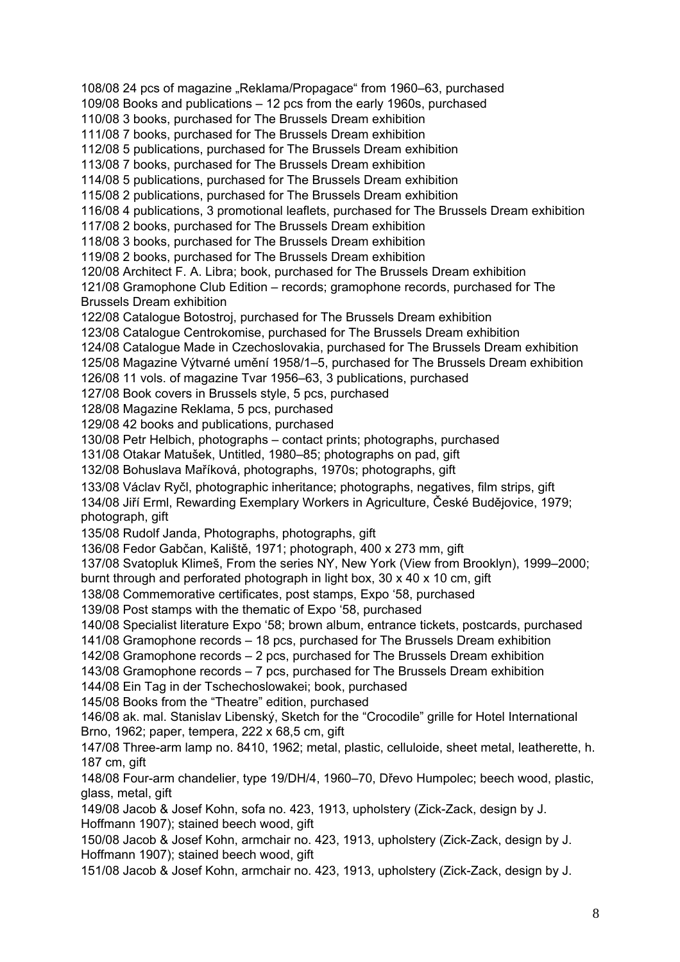108/08 24 pcs of magazine "Reklama/Propagace" from 1960–63, purchased 109/08 Books and publications – 12 pcs from the early 1960s, purchased 110/08 3 books, purchased for The Brussels Dream exhibition 111/08 7 books, purchased for The Brussels Dream exhibition 112/08 5 publications, purchased for The Brussels Dream exhibition 113/08 7 books, purchased for The Brussels Dream exhibition 114/08 5 publications, purchased for The Brussels Dream exhibition 115/08 2 publications, purchased for The Brussels Dream exhibition 116/08 4 publications, 3 promotional leaflets, purchased for The Brussels Dream exhibition 117/08 2 books, purchased for The Brussels Dream exhibition 118/08 3 books, purchased for The Brussels Dream exhibition 119/08 2 books, purchased for The Brussels Dream exhibition 120/08 Architect F. A. Libra; book, purchased for The Brussels Dream exhibition 121/08 Gramophone Club Edition – records; gramophone records, purchased for The Brussels Dream exhibition 122/08 Catalogue Botostroj, purchased for The Brussels Dream exhibition 123/08 Catalogue Centrokomise, purchased for The Brussels Dream exhibition 124/08 Catalogue Made in Czechoslovakia, purchased for The Brussels Dream exhibition 125/08 Magazine Výtvarné umění 1958/1–5, purchased for The Brussels Dream exhibition 126/08 11 vols. of magazine Tvar 1956–63, 3 publications, purchased 127/08 Book covers in Brussels style, 5 pcs, purchased 128/08 Magazine Reklama, 5 pcs, purchased 129/08 42 books and publications, purchased 130/08 Petr Helbich, photographs – contact prints; photographs, purchased 131/08 Otakar Matušek, Untitled, 1980–85; photographs on pad, gift 132/08 Bohuslava Maříková, photographs, 1970s; photographs, gift 133/08 Václav Ryčl, photographic inheritance; photographs, negatives, film strips, gift 134/08 Jiří Erml, Rewarding Exemplary Workers in Agriculture, České Budějovice, 1979; photograph, gift 135/08 Rudolf Janda, Photographs, photographs, gift 136/08 Fedor Gabčan, Kaliště, 1971; photograph, 400 x 273 mm, gift 137/08 Svatopluk Klimeš, From the series NY, New York (View from Brooklyn), 1999–2000; burnt through and perforated photograph in light box, 30 x 40 x 10 cm, gift 138/08 Commemorative certificates, post stamps, Expo '58, purchased 139/08 Post stamps with the thematic of Expo '58, purchased 140/08 Specialist literature Expo '58; brown album, entrance tickets, postcards, purchased 141/08 Gramophone records – 18 pcs, purchased for The Brussels Dream exhibition 142/08 Gramophone records – 2 pcs, purchased for The Brussels Dream exhibition 143/08 Gramophone records – 7 pcs, purchased for The Brussels Dream exhibition 144/08 Ein Tag in der Tschechoslowakei; book, purchased 145/08 Books from the "Theatre" edition, purchased 146/08 ak. mal. Stanislav Libenský, Sketch for the "Crocodile" grille for Hotel International Brno, 1962; paper, tempera, 222 x 68,5 cm, gift 147/08 Three-arm lamp no. 8410, 1962; metal, plastic, celluloide, sheet metal, leatherette, h. 187 cm, gift 148/08 Four-arm chandelier, type 19/DH/4, 1960–70, Dřevo Humpolec; beech wood, plastic, glass, metal, gift 149/08 Jacob & Josef Kohn, sofa no. 423, 1913, upholstery (Zick-Zack, design by J. Hoffmann 1907); stained beech wood, gift 150/08 Jacob & Josef Kohn, armchair no. 423, 1913, upholstery (Zick-Zack, design by J. Hoffmann 1907); stained beech wood, gift 151/08 Jacob & Josef Kohn, armchair no. 423, 1913, upholstery (Zick-Zack, design by J.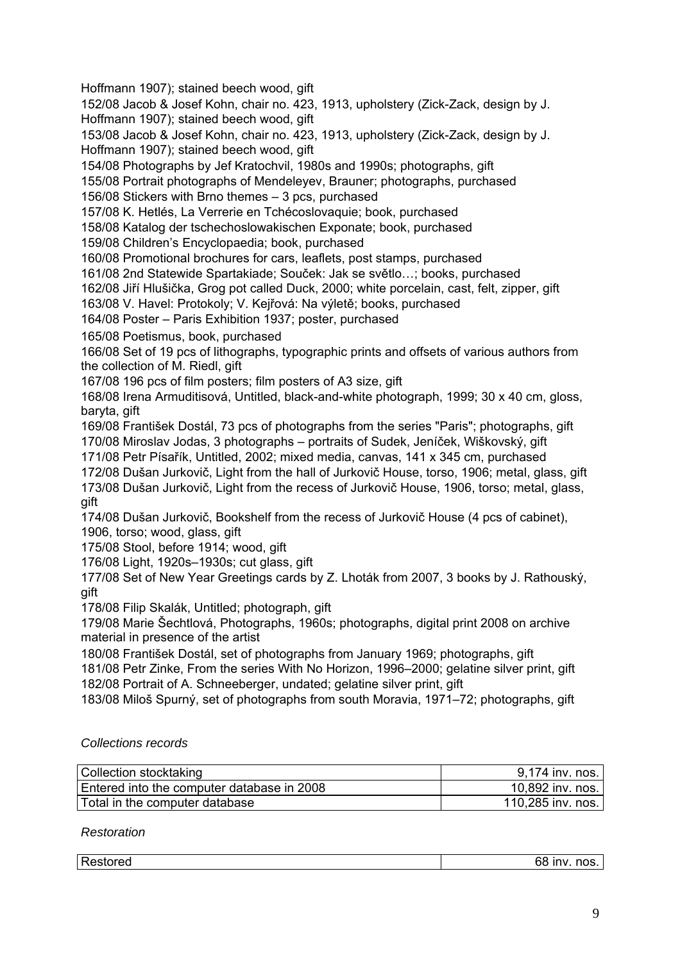Hoffmann 1907); stained beech wood, gift

152/08 Jacob & Josef Kohn, chair no. 423, 1913, upholstery (Zick-Zack, design by J. Hoffmann 1907); stained beech wood, gift

153/08 Jacob & Josef Kohn, chair no. 423, 1913, upholstery (Zick-Zack, design by J. Hoffmann 1907); stained beech wood, gift

154/08 Photographs by Jef Kratochvil, 1980s and 1990s; photographs, gift

155/08 Portrait photographs of Mendeleyev, Brauner; photographs, purchased

156/08 Stickers with Brno themes – 3 pcs, purchased

157/08 K. Hetlés, La Verrerie en Tchécoslovaquie; book, purchased

158/08 Katalog der tschechoslowakischen Exponate; book, purchased

159/08 Children's Encyclopaedia; book, purchased

160/08 Promotional brochures for cars, leaflets, post stamps, purchased

161/08 2nd Statewide Spartakiade; Souček: Jak se světlo…; books, purchased

162/08 Jiří Hlušička, Grog pot called Duck, 2000; white porcelain, cast, felt, zipper, gift

163/08 V. Havel: Protokoly; V. Kejřová: Na výletě; books, purchased

164/08 Poster – Paris Exhibition 1937; poster, purchased

165/08 Poetismus, book, purchased

166/08 Set of 19 pcs of lithographs, typographic prints and offsets of various authors from the collection of M. Riedl, gift

167/08 196 pcs of film posters; film posters of A3 size, gift

168/08 Irena Armuditisová, Untitled, black-and-white photograph, 1999; 30 x 40 cm, gloss, baryta, gift

169/08 František Dostál, 73 pcs of photographs from the series "Paris"; photographs, gift 170/08 Miroslav Jodas, 3 photographs – portraits of Sudek, Jeníček, Wiškovský, gift

171/08 Petr Písařík, Untitled, 2002; mixed media, canvas, 141 x 345 cm, purchased

172/08 Dušan Jurkovič, Light from the hall of Jurkovič House, torso, 1906; metal, glass, gift

173/08 Dušan Jurkovič, Light from the recess of Jurkovič House, 1906, torso; metal, glass, gift

174/08 Dušan Jurkovič, Bookshelf from the recess of Jurkovič House (4 pcs of cabinet), 1906, torso; wood, glass, gift

175/08 Stool, before 1914; wood, gift

176/08 Light, 1920s–1930s; cut glass, gift

177/08 Set of New Year Greetings cards by Z. Lhoták from 2007, 3 books by J. Rathouský, gift

178/08 Filip Skalák, Untitled; photograph, gift

179/08 Marie Šechtlová, Photographs, 1960s; photographs, digital print 2008 on archive material in presence of the artist

180/08 František Dostál, set of photographs from January 1969; photographs, gift

181/08 Petr Zinke, From the series With No Horizon, 1996–2000; gelatine silver print, gift 182/08 Portrait of A. Schneeberger, undated; gelatine silver print, gift

183/08 Miloš Spurný, set of photographs from south Moravia, 1971–72; photographs, gift

## *Collections records*

| Collection stocktaking                     | 9,174 inv. nos.   |
|--------------------------------------------|-------------------|
| Entered into the computer database in 2008 | 10,892 inv. nos.  |
| Total in the computer database             | 110,285 inv. nos. |

## *Restoration*

| Restored | . .<br>.<br><b>INV</b><br>∸ ⊓us.<br>JС<br>$\sim$ |
|----------|--------------------------------------------------|
|          |                                                  |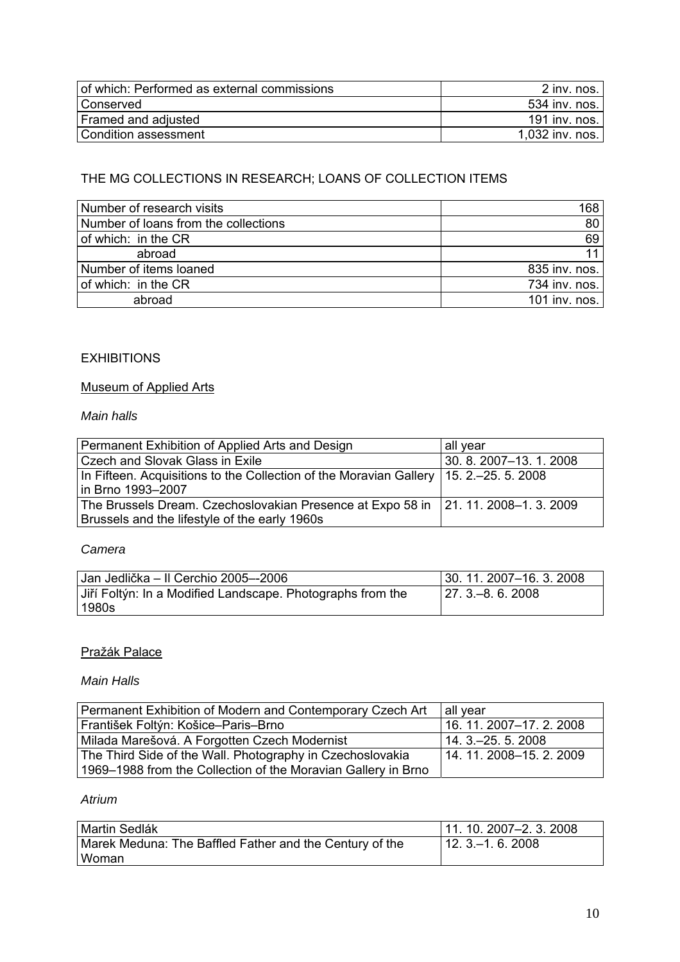| of which: Performed as external commissions | 2 inv. nos.      |
|---------------------------------------------|------------------|
| l Conserved                                 | .534 inv. nos. I |
| Framed and adjusted                         | 191 inv. nos. I  |
| Condition assessment                        | 1,032 inv. nos.  |

# THE MG COLLECTIONS IN RESEARCH; LOANS OF COLLECTION ITEMS

| Number of research visits            | 168           |
|--------------------------------------|---------------|
| Number of loans from the collections | 80            |
| of which: in the CR                  | 69            |
| abroad                               |               |
| Number of items loaned               | 835 inv. nos. |
| of which: in the CR                  | 734 inv. nos. |
| abroad                               | 101 inv. nos. |

# **EXHIBITIONS**

# Museum of Applied Arts

# *Main halls*

| Permanent Exhibition of Applied Arts and Design                                                                | all year            |
|----------------------------------------------------------------------------------------------------------------|---------------------|
| <b>Czech and Slovak Glass in Exile</b>                                                                         | 30.8.2007-13.1.2008 |
| In Fifteen. Acquisitions to the Collection of the Moravian Gallery   15. 2.–25. 5. 2008<br>l in Brno 1993–2007 |                     |
| The Brussels Dream. Czechoslovakian Presence at Expo 58 in   21. 11. 2008–1. 3. 2009                           |                     |
| Brussels and the lifestyle of the early 1960s                                                                  |                     |

#### *Camera*

| Jan Jedlička – Il Cerchio 2005–-2006                                  | $ 30.11.2007 - 16.3.2008$ |
|-----------------------------------------------------------------------|---------------------------|
| Jiří Foltýn: In a Modified Landscape. Photographs from the<br>l 1980s | $ 27.3-8.6.2008$          |

## Pražák Palace

#### *Main Halls*

| Permanent Exhibition of Modern and Contemporary Czech Art     | all year                 |
|---------------------------------------------------------------|--------------------------|
| František Foltýn: Košice–Paris–Brno                           | 16. 11. 2007-17. 2. 2008 |
| Milada Marešová. A Forgotten Czech Modernist                  | 14.3. - 25.5.2008        |
| The Third Side of the Wall. Photography in Czechoslovakia     | 14.11.2008-15.2.2009     |
| 1969–1988 from the Collection of the Moravian Gallery in Brno |                          |

# *Atrium*

| Martin Sedlák                                           | $11.10.2007 - 2.3.2008$ |
|---------------------------------------------------------|-------------------------|
| Marek Meduna: The Baffled Father and the Century of the | $112.3 - 1.6.2008$      |
| l Woman                                                 |                         |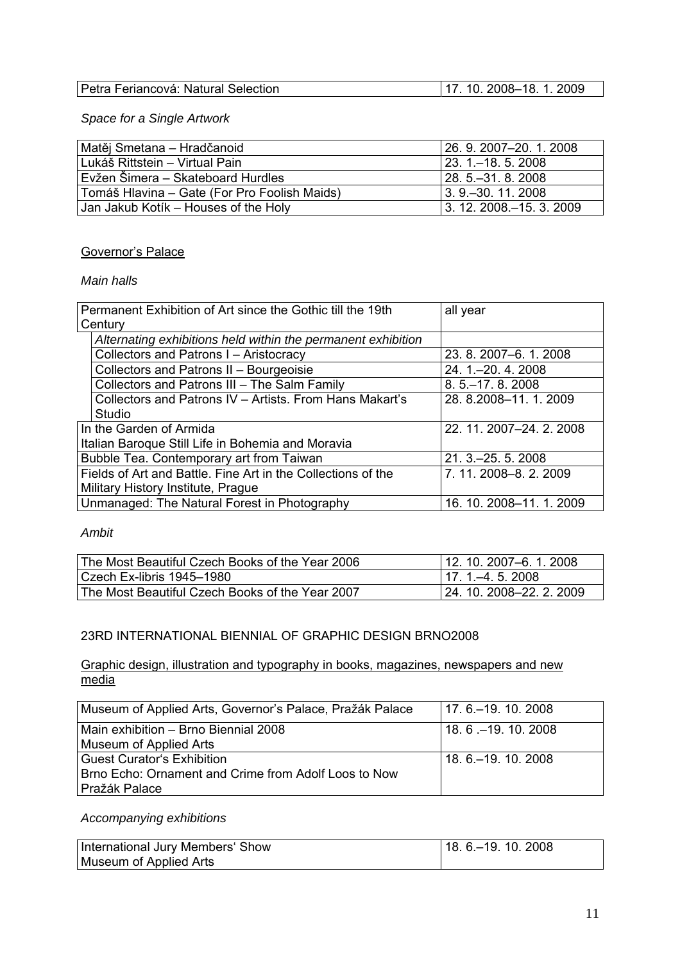| Petra Feriancová: Natural Selection | $17.10.2008 - 18.1.2009$ |
|-------------------------------------|--------------------------|

*Space for a Single Artwork* 

| Matěj Smetana – Hradčanoid                   | 126.9.2007-20.1.2008        |
|----------------------------------------------|-----------------------------|
| Lukáš Rittstein – Virtual Pain               | 123 1-18 5 2008             |
| Evžen Šimera - Skateboard Hurdles            | l 28. 5.–31. 8. 2008        |
| Tomáš Hlavina – Gate (For Pro Foolish Maids) | 13.9. - 30.11.2008          |
| Jan Jakub Kotik – Houses of the Holy         | 13. 12. 2008. - 15. 3. 2009 |

### Governor's Palace

### *Main halls*

|                                                              | Permanent Exhibition of Art since the Gothic till the 19th   | all year                 |
|--------------------------------------------------------------|--------------------------------------------------------------|--------------------------|
| Century                                                      |                                                              |                          |
|                                                              | Alternating exhibitions held within the permanent exhibition |                          |
|                                                              | Collectors and Patrons I - Aristocracy                       | 23. 8. 2007-6. 1. 2008   |
|                                                              | Collectors and Patrons II - Bourgeoisie                      | 24. 1 .- 20. 4. 2008     |
|                                                              | Collectors and Patrons III - The Salm Family                 | $8.5 - 17.8.2008$        |
|                                                              | Collectors and Patrons IV - Artists. From Hans Makart's      | 28. 8.2008-11. 1. 2009   |
| Studio                                                       |                                                              |                          |
|                                                              | In the Garden of Armida                                      | 22. 11. 2007-24. 2. 2008 |
|                                                              | Italian Baroque Still Life in Bohemia and Moravia            |                          |
|                                                              | Bubble Tea. Contemporary art from Taiwan                     | 21. 3 .- 25. 5. 2008     |
| Fields of Art and Battle. Fine Art in the Collections of the |                                                              | 7.11.2008-8.2.2009       |
|                                                              | Military History Institute, Prague                           |                          |
|                                                              | Unmanaged: The Natural Forest in Photography                 | 16. 10. 2008-11. 1. 2009 |
|                                                              |                                                              |                          |

## *Ambit*

| The Most Beautiful Czech Books of the Year 2006 | 12. 10. 2007–6. 1. 2008    |
|-------------------------------------------------|----------------------------|
| l Czech Ex-libris 1945–1980                     | $117.1 - 4.5.2008$         |
| The Most Beautiful Czech Books of the Year 2007 | l 24. 10. 2008–22. 2. 2009 |

## 23RD INTERNATIONAL BIENNIAL OF GRAPHIC DESIGN BRNO2008

Graphic design, illustration and typography in books, magazines, newspapers and new media

| Museum of Applied Arts, Governor's Palace, Pražák Palace | l 17. 6.–19. 10. 2008 |
|----------------------------------------------------------|-----------------------|
| l Main exhibition – Brno Biennial 2008                   | 18.6. - 19. 10. 2008  |
| Museum of Applied Arts                                   |                       |
| <b>Guest Curator's Exhibition</b>                        | 18.6 . - 19. 10. 2008 |
| Brno Echo: Ornament and Crime from Adolf Loos to Now     |                       |
| l Pražák Palace                                          |                       |

## *Accompanying exhibitions*

| International Jury Members' Show | $18.6 - 19.10.2008$ |
|----------------------------------|---------------------|
| Museum of Applied Arts           |                     |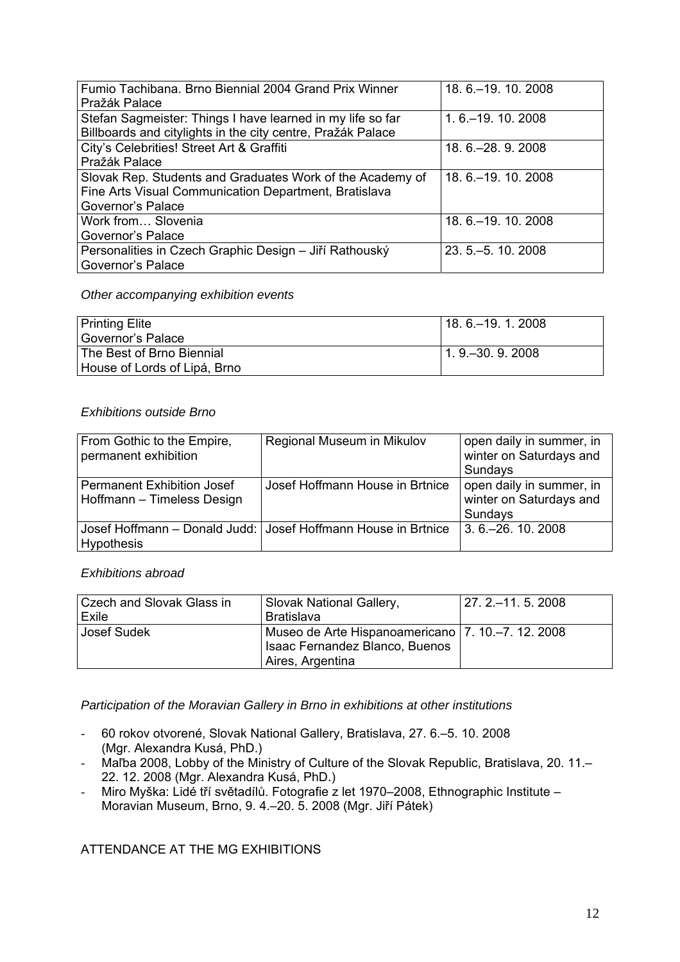| Fumio Tachibana. Brno Biennial 2004 Grand Prix Winner       | 18. 6. - 19. 10. 2008 |
|-------------------------------------------------------------|-----------------------|
| Pražák Palace                                               |                       |
| Stefan Sagmeister: Things I have learned in my life so far  | 1.6 .- 19.10.2008     |
| Billboards and citylights in the city centre, Pražák Palace |                       |
| City's Celebrities! Street Art & Graffiti                   | 18. 6. - 28. 9. 2008  |
| Pražák Palace                                               |                       |
| Slovak Rep. Students and Graduates Work of the Academy of   | 18. 6. - 19. 10. 2008 |
| Fine Arts Visual Communication Department, Bratislava       |                       |
| Governor's Palace                                           |                       |
| Work from Slovenia                                          | 18. 6. - 19. 10. 2008 |
| Governor's Palace                                           |                       |
| Personalities in Czech Graphic Design - Jiří Rathouský      | 23.5 . - 5.10.2008    |
| Governor's Palace                                           |                       |
|                                                             |                       |

### *Other accompanying exhibition events*

| Printing Elite               | $18.6 - 19.12008$ |
|------------------------------|-------------------|
| Governor's Palace            |                   |
| The Best of Brno Biennial    | $1.9 - 30.9.2008$ |
| House of Lords of Lipá, Brno |                   |

## *Exhibitions outside Brno*

| From Gothic to the Empire,<br>permanent exhibition              | Regional Museum in Mikulov                                      | open daily in summer, in<br>winter on Saturdays and<br>Sundays |
|-----------------------------------------------------------------|-----------------------------------------------------------------|----------------------------------------------------------------|
| <b>Permanent Exhibition Josef</b><br>Hoffmann - Timeless Design | Josef Hoffmann House in Brtnice                                 | open daily in summer, in<br>winter on Saturdays and<br>Sundays |
| <b>Hypothesis</b>                                               | Josef Hoffmann - Donald Judd:   Josef Hoffmann House in Brtnice | $3.6 - 26.10.2008$                                             |

*Exhibitions abroad* 

| Czech and Slovak Glass in | Slovak National Gallery,                            | l 27. 2.–11. 5. 2008 |
|---------------------------|-----------------------------------------------------|----------------------|
| Exile                     | Bratislava                                          |                      |
| Josef Sudek               | Museo de Arte Hispanoamericano   7. 10.–7. 12. 2008 |                      |
|                           | Isaac Fernandez Blanco, Buenos                      |                      |
|                           | Aires, Argentina                                    |                      |

*Participation of the Moravian Gallery in Brno in exhibitions at other institutions* 

- 60 rokov otvorené, Slovak National Gallery, Bratislava, 27. 6.–5. 10. 2008 (Mgr. Alexandra Kusá, PhD.)
- Maľba 2008, Lobby of the Ministry of Culture of the Slovak Republic, Bratislava, 20. 11.– 22. 12. 2008 (Mgr. Alexandra Kusá, PhD.)
- Miro Myška: Lidé tří světadílů. Fotografie z let 1970–2008, Ethnographic Institute Moravian Museum, Brno, 9. 4.–20. 5. 2008 (Mgr. Jiří Pátek)

ATTENDANCE AT THE MG EXHIBITIONS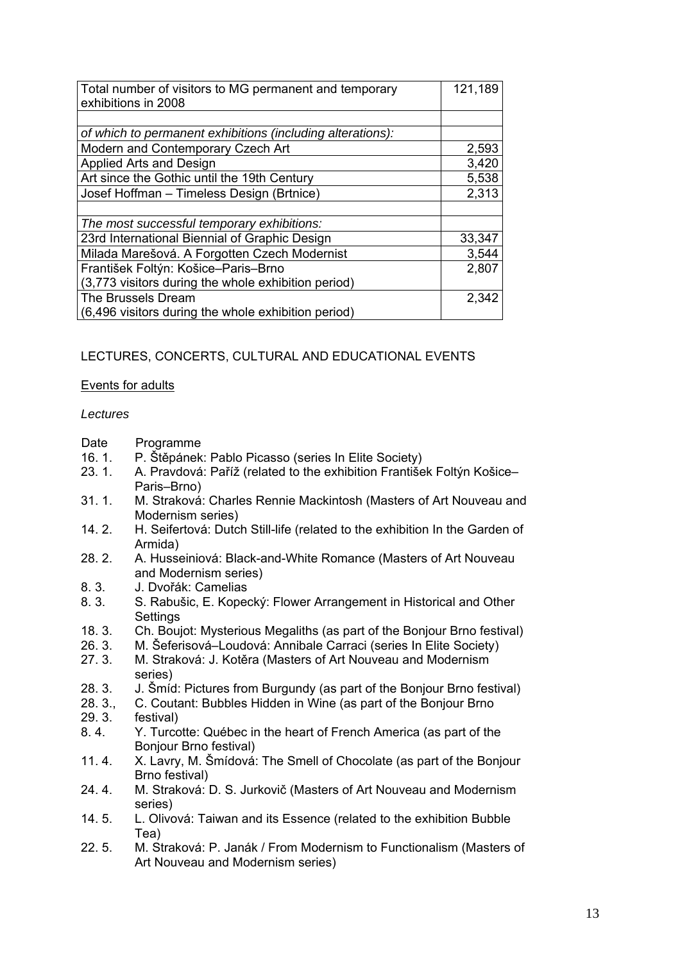| Total number of visitors to MG permanent and temporary<br>exhibitions in 2008 | 121,189 |
|-------------------------------------------------------------------------------|---------|
|                                                                               |         |
| of which to permanent exhibitions (including alterations):                    |         |
| Modern and Contemporary Czech Art                                             | 2,593   |
| Applied Arts and Design                                                       | 3,420   |
| Art since the Gothic until the 19th Century                                   | 5,538   |
| Josef Hoffman - Timeless Design (Brtnice)                                     | 2,313   |
|                                                                               |         |
| The most successful temporary exhibitions:                                    |         |
| 23rd International Biennial of Graphic Design                                 | 33,347  |
| Milada Marešová. A Forgotten Czech Modernist                                  | 3,544   |
| František Foltýn: Košice-Paris-Brno                                           | 2,807   |
| (3,773 visitors during the whole exhibition period)                           |         |
| The Brussels Dream                                                            | 2,342   |
| (6,496 visitors during the whole exhibition period)                           |         |

# LECTURES, CONCERTS, CULTURAL AND EDUCATIONAL EVENTS

## Events for adults

### *Lectures*

- Date Programme<br>16.1. P. Štěpánek
- 16. 1. P. Štěpánek: Pablo Picasso (series In Elite Society)
- 23. 1. A. Pravdová: Paříž (related to the exhibition František Foltýn Košice– Paris–Brno)
- 31. 1. M. Straková: Charles Rennie Mackintosh (Masters of Art Nouveau and Modernism series)
- 14. 2. H. Seifertová: Dutch Still-life (related to the exhibition In the Garden of Armida)
- 28. 2. A. Husseiniová: Black-and-White Romance (Masters of Art Nouveau and Modernism series)
- 8. 3. J. Dvořák: Camelias
- 8. 3. S. Rabušic, E. Kopecký: Flower Arrangement in Historical and Other Settings
- 18. 3. Ch. Boujot: Mysterious Megaliths (as part of the Bonjour Brno festival)
- 26. 3. M. Šeferisová–Loudová: Annibale Carraci (series In Elite Society)<br>27. 3. M. Straková: J. Kotěra (Masters of Art Nouveau and Modernism
- M. Straková: J. Kotěra (Masters of Art Nouveau and Modernism series)
- 28. 3. J. Šmíd: Pictures from Burgundy (as part of the Bonjour Brno festival)
- 28. 3., C. Coutant: Bubbles Hidden in Wine (as part of the Bonjour Brno
- 29. 3. festival)
- 8. 4. Y. Turcotte: Québec in the heart of French America (as part of the Bonjour Brno festival)
- 11. 4. X. Lavry, M. Šmídová: The Smell of Chocolate (as part of the Bonjour Brno festival)
- 24. 4. M. Straková: D. S. Jurkovič (Masters of Art Nouveau and Modernism series)
- 14. 5. L. Olivová: Taiwan and its Essence (related to the exhibition Bubble Tea)
- 22. 5. M. Straková: P. Janák / From Modernism to Functionalism (Masters of Art Nouveau and Modernism series)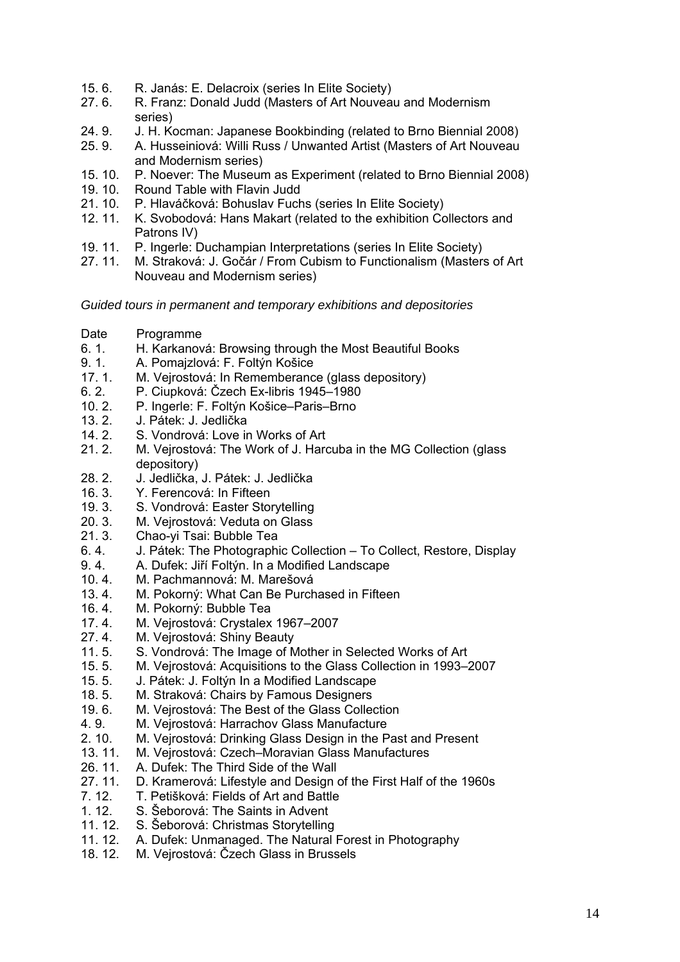- 15. 6. R. Janás: E. Delacroix (series In Elite Society)
- 27. 6. R. Franz: Donald Judd (Masters of Art Nouveau and Modernism series)
- 24. 9. J. H. Kocman: Japanese Bookbinding (related to Brno Biennial 2008)
- 25. 9. A. Husseiniová: Willi Russ / Unwanted Artist (Masters of Art Nouveau and Modernism series)
- 15. 10. P. Noever: The Museum as Experiment (related to Brno Biennial 2008)
- 19. 10. Round Table with Flavin Judd
- 21. 10. P. Hlaváčková: Bohuslav Fuchs (series In Elite Society)
- 12. 11. K. Svobodová: Hans Makart (related to the exhibition Collectors and Patrons IV)
- 19. 11. P. Ingerle: Duchampian Interpretations (series In Elite Society)
- 27. 11. M. Straková: J. Gočár / From Cubism to Functionalism (Masters of Art Nouveau and Modernism series)

*Guided tours in permanent and temporary exhibitions and depositories* 

- Date Programme
- 6. 1. H. Karkanová: Browsing through the Most Beautiful Books
- 9. 1. A. Pomajzlová: F. Foltýn Košice
- 17. 1. M. Vejrostová: In Rememberance (glass depository)
- 6. 2. P. Ciupková: Čzech Ex-libris 1945–1980<br>10. 2. P. Ingerle: F. Foltýn Košice–Paris–Brno
- P. Ingerle: F. Foltýn Košice–Paris–Brno
- 13. 2. J. Pátek: J. Jedlička
- 14. 2. S. Vondrová: Love in Works of Art
- 21. 2. M. Vejrostová: The Work of J. Harcuba in the MG Collection (glass depository)
- 28. 2. J. Jedlička, J. Pátek: J. Jedlička
- 16. 3. Y. Ferencová: In Fifteen
- 19. 3. S. Vondrová: Easter Storytelling
- 20. 3. M. Vejrostová: Veduta on Glass
- 21. 3. Chao-yi Tsai: Bubble Tea
- 6. 4. J. Pátek: The Photographic Collection To Collect, Restore, Display
- 9. 4. A. Dufek: Jiří Foltýn. In a Modified Landscape
- 10. 4. M. Pachmannová: M. Marešová
- 13. 4. M. Pokorný: What Can Be Purchased in Fifteen<br>16. 4. M. Pokorný: Bubble Tea
- M. Pokorný: Bubble Tea
- 17. 4. M. Vejrostová: Crystalex 1967–2007
- 27. 4. M. Vejrostová: Shiny Beauty
- 11. 5. S. Vondrová: The Image of Mother in Selected Works of Art
- 15. 5. M. Vejrostová: Acquisitions to the Glass Collection in 1993–2007
- 15. 5. J. Pátek: J. Foltýn In a Modified Landscape
- 18. 5. M. Straková: Chairs by Famous Designers
- 19. 6. M. Vejrostová: The Best of the Glass Collection
- 4. 9. M. Vejrostová: Harrachov Glass Manufacture
- 2. 10. M. Vejrostová: Drinking Glass Design in the Past and Present
- 13. 11. M. Vejrostová: Czech–Moravian Glass Manufactures
- 26. 11. A. Dufek: The Third Side of the Wall
- 27. 11. D. Kramerová: Lifestyle and Design of the First Half of the 1960s
- 7. 12. T. Petišková: Fields of Art and Battle
- 1. 12. S. Šeborová: The Saints in Advent
- 11. 12. S. Šeborová: Christmas Storytelling
- 11. 12. A. Dufek: Unmanaged. The Natural Forest in Photography
- 18. 12. M. Vejrostová: Čzech Glass in Brussels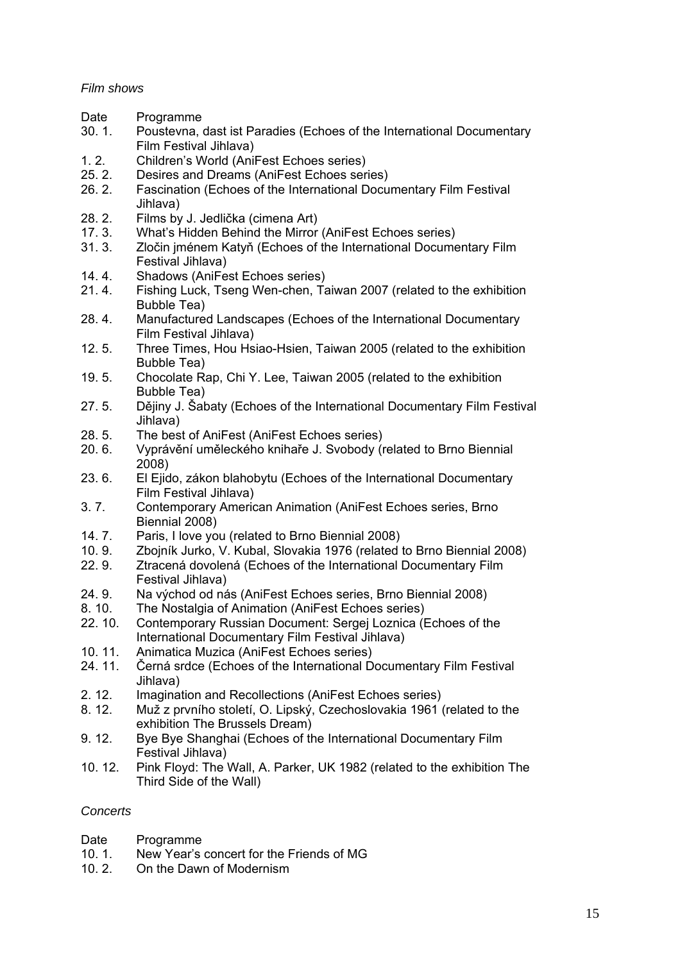# *Film shows*

- Date Programme
- 30. 1. Poustevna, dast ist Paradies (Echoes of the International Documentary Film Festival Jihlava)
- 1. 2. Children's World (AniFest Echoes series)<br>25. 2. Desires and Dreams (AniFest Echoes seri
- Desires and Dreams (AniFest Echoes series)
- 26. 2. Fascination (Echoes of the International Documentary Film Festival Jihlava)
- 28. 2. Films by J. Jedlička (cimena Art)
- 17. 3. What's Hidden Behind the Mirror (AniFest Echoes series)
- 31. 3. Zločin jménem Katyň (Echoes of the International Documentary Film Festival Jihlava)
- 14. 4. Shadows (AniFest Echoes series)
- 21. 4. Fishing Luck, Tseng Wen-chen, Taiwan 2007 (related to the exhibition Bubble Tea)
- 28. 4. Manufactured Landscapes (Echoes of the International Documentary Film Festival Jihlava)
- 12. 5. Three Times, Hou Hsiao-Hsien, Taiwan 2005 (related to the exhibition Bubble Tea)
- 19. 5. Chocolate Rap, Chi Y. Lee, Taiwan 2005 (related to the exhibition Bubble Tea)
- 27. 5. Dějiny J. Šabaty (Echoes of the International Documentary Film Festival Jihlava)
- 28. 5. The best of AniFest (AniFest Echoes series)
- 20. 6. Vyprávění uměleckého knihaře J. Svobody (related to Brno Biennial 2008)
- 23. 6. El Ejido, zákon blahobytu (Echoes of the International Documentary Film Festival Jihlava)
- 3. 7. Contemporary American Animation (AniFest Echoes series, Brno Biennial 2008)
- 14. 7. Paris, I love you (related to Brno Biennial 2008)
- 10. 9. Zbojník Jurko, V. Kubal, Slovakia 1976 (related to Brno Biennial 2008)
- 22. 9. Ztracená dovolená (Echoes of the International Documentary Film Festival Jihlava)
- 24. 9. Na východ od nás (AniFest Echoes series, Brno Biennial 2008)<br>8. 10. The Nostalgia of Animation (AniFest Echoes series)
- The Nostalgia of Animation (AniFest Echoes series)
- 22. 10. Contemporary Russian Document: Sergej Loznica (Echoes of the International Documentary Film Festival Jihlava)
- 10. 11. Animatica Muzica (AniFest Echoes series)
- 24. 11. Černá srdce (Echoes of the International Documentary Film Festival Jihlava)
- 2. 12. Imagination and Recollections (AniFest Echoes series)
- 8. 12. Muž z prvního století, O. Lipský, Czechoslovakia 1961 (related to the exhibition The Brussels Dream)
- 9. 12. Bye Bye Shanghai (Echoes of the International Documentary Film Festival Jihlava)
- 10. 12. Pink Floyd: The Wall, A. Parker, UK 1982 (related to the exhibition The Third Side of the Wall)

## *Concerts*

- Date Programme
- 10. 1. New Year's concert for the Friends of MG
- 10. 2. On the Dawn of Modernism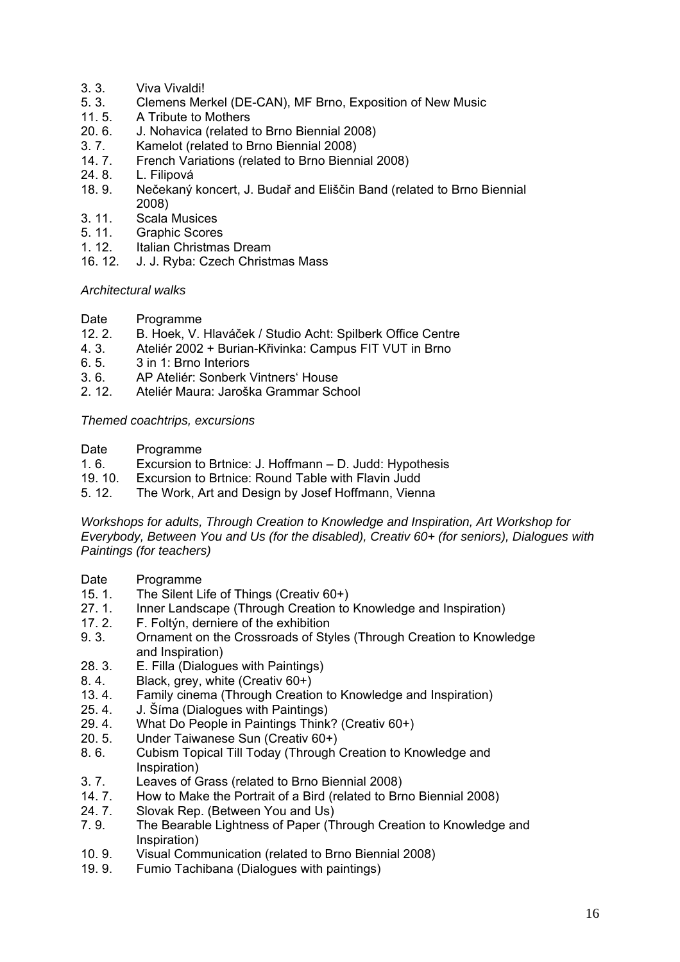- 3. 3. Viva Vivaldi!
- 5. 3. Clemens Merkel (DE-CAN), MF Brno, Exposition of New Music
- 11. 5. A Tribute to Mothers
- 20. 6. J. Nohavica (related to Brno Biennial 2008)<br>3. 7. Kamelot (related to Brno Biennial 2008)
- 3. 7. Kamelot (related to Brno Biennial 2008)<br>14. 7. French Variations (related to Brno Bienn
- French Variations (related to Brno Biennial 2008)
- 24. 8. L. Filipová
- 18. 9. Nečekaný koncert, J. Budař and Eliščin Band (related to Brno Biennial 2008)
- 3. 11. Scala Musices
- 5. 11. Graphic Scores
- 1. 12. Italian Christmas Dream
- 16. 12. J. J. Ryba: Czech Christmas Mass

## *Architectural walks*

- Date Programme
- 12. 2. B. Hoek, V. Hlaváček / Studio Acht: Spilberk Office Centre
- 4. 3. Ateliér 2002 + Burian-Křivinka: Campus FIT VUT in Brno
- 6. 5. 3 in 1: Brno Interiors
- 3. 6. AP Ateliér: Sonberk Vintners' House
- 2. 12. Ateliér Maura: Jaroška Grammar School

## *Themed coachtrips, excursions*

- Date Programme
- 1. 6. Excursion to Brtnice: J. Hoffmann D. Judd: Hypothesis
- 19. 10. Excursion to Brtnice: Round Table with Flavin Judd
- 5. 12. The Work, Art and Design by Josef Hoffmann, Vienna

*Workshops for adults, Through Creation to Knowledge and Inspiration, Art Workshop for Everybody, Between You and Us (for the disabled), Creativ 60+ (for seniors), Dialogues with Paintings (for teachers)* 

- Date Programme
- 15. 1. The Silent Life of Things (Creativ 60+)<br>27. 1. Inner Landscape (Through Creation to
- 27. 1. Inner Landscape (Through Creation to Knowledge and Inspiration)<br>17. 2. E. Foltýn, derniere of the exhibition
- F. Foltýn, derniere of the exhibition
- 9. 3. Ornament on the Crossroads of Styles (Through Creation to Knowledge and Inspiration)
- 28. 3. E. Filla (Dialogues with Paintings)
- 8. 4. Black, grey, white (Creativ 60+)
- 13. 4. Family cinema (Through Creation to Knowledge and Inspiration)
- 25. 4. J. Šíma (Dialogues with Paintings)
- 29. 4. What Do People in Paintings Think? (Creativ 60+)
- 20. 5. Under Taiwanese Sun (Creativ 60+)
- 8. 6. Cubism Topical Till Today (Through Creation to Knowledge and Inspiration)
- 3. 7. Leaves of Grass (related to Brno Biennial 2008)
- 14. 7. How to Make the Portrait of a Bird (related to Brno Biennial 2008)
- 24. 7. Slovak Rep. (Between You and Us)
- 7. 9. The Bearable Lightness of Paper (Through Creation to Knowledge and Inspiration)
- 10. 9. Visual Communication (related to Brno Biennial 2008)
- 19. 9. Fumio Tachibana (Dialogues with paintings)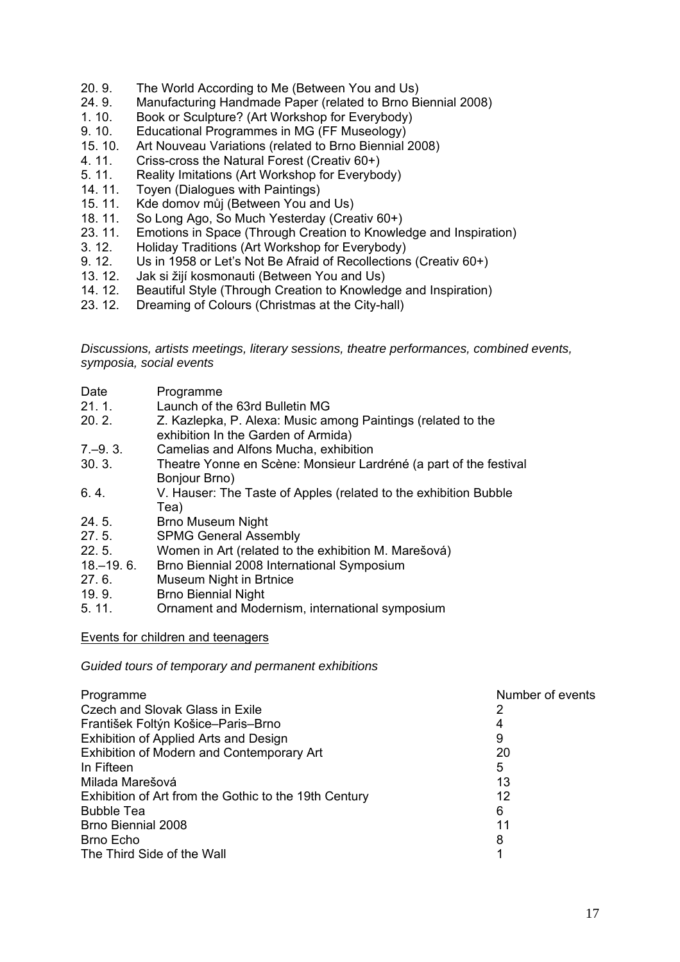- 20. 9. The World According to Me (Between You and Us)
- 24. 9. Manufacturing Handmade Paper (related to Brno Biennial 2008)
- 1. 10. Book or Sculpture? (Art Workshop for Everybody)
- 9. 10. Educational Programmes in MG (FF Museology)<br>15. 10. Art Nouveau Variations (related to Brno Biennial 2
- Art Nouveau Variations (related to Brno Biennial 2008)
- 4. 11. Criss-cross the Natural Forest (Creativ 60+)
- 5. 11. Reality Imitations (Art Workshop for Everybody)
- 14. 11. Toyen (Dialogues with Paintings)
- 15. 11. Kde domov můj (Between You and Us)
- 18. 11. So Long Ago, So Much Yesterday (Creativ 60+)
- 23. 11. Emotions in Space (Through Creation to Knowledge and Inspiration)
- 3. 12. Holiday Traditions (Art Workshop for Everybody)
- 9. 12. Us in 1958 or Let's Not Be Afraid of Recollections (Creativ 60+)<br>13. 12. Jak si žijí kosmonauti (Between You and Us)
- Jak si žijí kosmonauti (Between You and Us)
- 14. 12. Beautiful Style (Through Creation to Knowledge and Inspiration)
- 23. 12. Dreaming of Colours (Christmas at the City-hall)

*Discussions, artists meetings, literary sessions, theatre performances, combined events, symposia, social events* 

| Date | Programme |
|------|-----------|
|      |           |

- 21. 1. Launch of the 63rd Bulletin MG
- 20. 2. Z. Kazlepka, P. Alexa: Music among Paintings (related to the exhibition In the Garden of Armida)
- 7.–9. 3. Camelias and Alfons Mucha, exhibition
- 30. 3. Theatre Yonne en Scène: Monsieur Lardréné (a part of the festival Bonjour Brno)
- 6. 4. V. Hauser: The Taste of Apples (related to the exhibition Bubble Tea)
- 24. 5. Brno Museum Night
- 27. 5. SPMG General Assembly
- 22. 5. Women in Art (related to the exhibition M. Marešová)
- 18.–19. 6. Brno Biennial 2008 International Symposium
- 27. 6. Museum Night in Brtnice
- 19. 9. Brno Biennial Night<br>5. 11. Crnament and Mode
- 5. 11. Ornament and Modernism, international symposium

## Events for children and teenagers

*Guided tours of temporary and permanent exhibitions* 

| Programme                                             | Number of events |
|-------------------------------------------------------|------------------|
| Czech and Slovak Glass in Exile                       | 2                |
| František Foltýn Košice–Paris–Brno                    | 4                |
| Exhibition of Applied Arts and Design                 | 9                |
| Exhibition of Modern and Contemporary Art             | 20               |
| In Fifteen                                            | 5                |
| Milada Marešová                                       | 13               |
| Exhibition of Art from the Gothic to the 19th Century | 12               |
| <b>Bubble Tea</b>                                     | 6                |
| <b>Brno Biennial 2008</b>                             | 11               |
| Brno Echo                                             | 8                |
| The Third Side of the Wall                            |                  |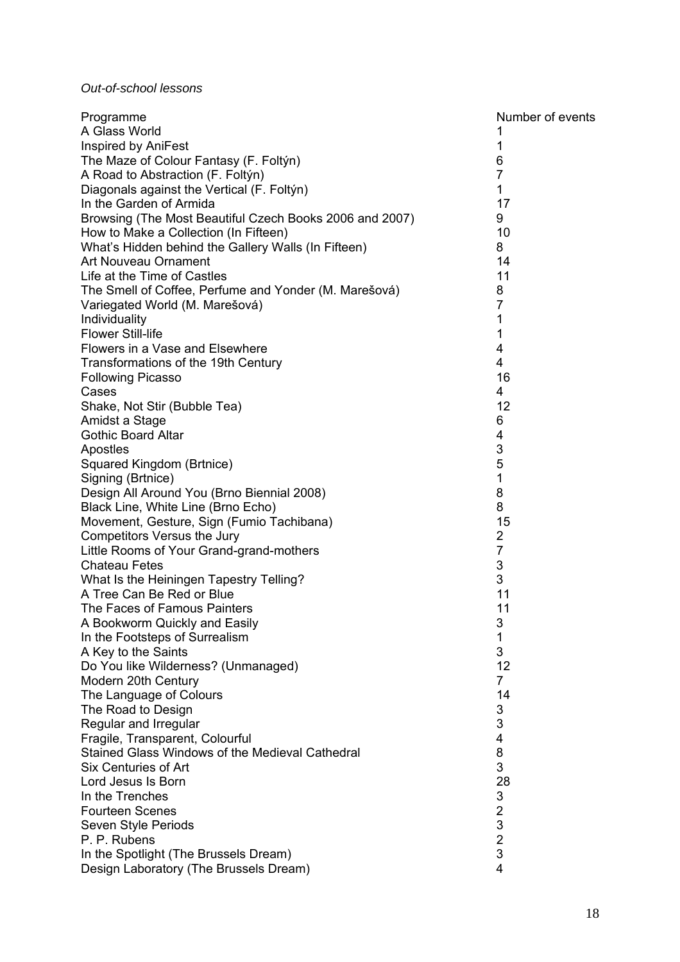# *Out-of-school lessons*

| Programme                                               | Number of events |
|---------------------------------------------------------|------------------|
| A Glass World                                           | 1                |
| Inspired by AniFest                                     | 1                |
| The Maze of Colour Fantasy (F. Foltýn)                  | 6                |
| A Road to Abstraction (F. Foltýn)                       | $\overline{7}$   |
| Diagonals against the Vertical (F. Foltýn)              | 1                |
| In the Garden of Armida                                 | 17               |
| Browsing (The Most Beautiful Czech Books 2006 and 2007) | 9                |
| How to Make a Collection (In Fifteen)                   | 10               |
| What's Hidden behind the Gallery Walls (In Fifteen)     | 8                |
| Art Nouveau Ornament                                    | 14               |
| Life at the Time of Castles                             | 11               |
| The Smell of Coffee, Perfume and Yonder (M. Marešová)   | 8                |
| Variegated World (M. Marešová)                          | $\overline{7}$   |
| Individuality                                           | 1                |
| <b>Flower Still-life</b>                                | 1                |
| Flowers in a Vase and Elsewhere                         | 4                |
| Transformations of the 19th Century                     | 4                |
| <b>Following Picasso</b>                                | 16               |
| Cases                                                   | 4                |
| Shake, Not Stir (Bubble Tea)                            | 12               |
| Amidst a Stage                                          | 6                |
| <b>Gothic Board Altar</b>                               | 4                |
| Apostles                                                | 3                |
| Squared Kingdom (Brtnice)                               | 5                |
| Signing (Brtnice)                                       | 1                |
| Design All Around You (Brno Biennial 2008)              | 8                |
| Black Line, White Line (Brno Echo)                      | 8                |
| Movement, Gesture, Sign (Fumio Tachibana)               | 15               |
| Competitors Versus the Jury                             | 2                |
| Little Rooms of Your Grand-grand-mothers                | $\overline{7}$   |
| <b>Chateau Fetes</b>                                    | 3                |
| What Is the Heiningen Tapestry Telling?                 | 3                |
| A Tree Can Be Red or Blue                               | 11               |
| The Faces of Famous Painters                            | 11               |
| A Bookworm Quickly and Easily                           | 3                |
| In the Footsteps of Surrealism                          | 1                |
| A Key to the Saints                                     | 3                |
| Do You like Wilderness? (Unmanaged)                     | 12               |
| Modern 20th Century                                     | $\overline{7}$   |
| The Language of Colours                                 | 14               |
| The Road to Design                                      | 3                |
| Regular and Irregular                                   | 3                |
| Fragile, Transparent, Colourful                         | 4                |
| Stained Glass Windows of the Medieval Cathedral         | 8                |
| Six Centuries of Art                                    | 3                |
| Lord Jesus Is Born                                      | 28               |
| In the Trenches                                         | 3                |
| <b>Fourteen Scenes</b>                                  | $\frac{2}{3}$    |
| Seven Style Periods                                     |                  |
| P. P. Rubens                                            | $\overline{2}$   |
| In the Spotlight (The Brussels Dream)                   | 3                |
| Design Laboratory (The Brussels Dream)                  | 4                |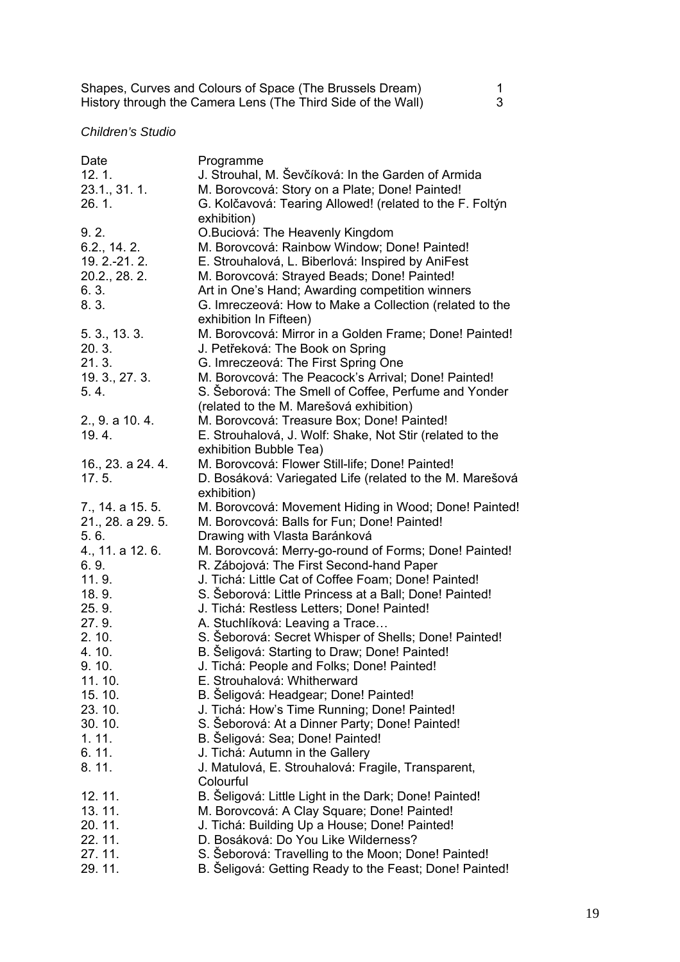| Shapes, Curves and Colours of Space (The Brussels Dream)     |  |
|--------------------------------------------------------------|--|
| History through the Camera Lens (The Third Side of the Wall) |  |

## *Children's Studio*

| Date              | Programme                                                |
|-------------------|----------------------------------------------------------|
| 12.1.             | J. Strouhal, M. Ševčíková: In the Garden of Armida       |
| $23.1, 31.1$ .    | M. Borovcová: Story on a Plate; Done! Painted!           |
| 26.1.             | G. Kolčavová: Tearing Allowed! (related to the F. Foltýn |
|                   | exhibition)                                              |
| 9.2.              | O.Buciová: The Heavenly Kingdom                          |
| 6.2., 14.2.       | M. Borovcová: Rainbow Window; Done! Painted!             |
| 19. 2. - 21. 2.   | E. Strouhalová, L. Biberlová: Inspired by AniFest        |
| 20.2., 28. 2.     | M. Borovcová: Strayed Beads; Done! Painted!              |
| 6.3.              | Art in One's Hand; Awarding competition winners          |
| 8.3.              | G. Imreczeová: How to Make a Collection (related to the  |
|                   | exhibition In Fifteen)                                   |
| 5.3, 13.3.        | M. Borovcová: Mirror in a Golden Frame; Done! Painted!   |
| 20.3.             | J. Petřeková: The Book on Spring                         |
| 21.3.             | G. Imreczeová: The First Spring One                      |
| 19.3, 27.3.       | M. Borovcová: The Peacock's Arrival; Done! Painted!      |
| 5.4.              | S. Seborová: The Smell of Coffee, Perfume and Yonder     |
|                   | (related to the M. Marešová exhibition)                  |
| 2., 9. a 10.4.    | M. Borovcová: Treasure Box; Done! Painted!               |
| 19.4.             | E. Strouhalová, J. Wolf: Shake, Not Stir (related to the |
|                   | exhibition Bubble Tea)                                   |
| 16., 23. a 24. 4. | M. Borovcová: Flower Still-life; Done! Painted!          |
| 17.5.             | D. Bosáková: Variegated Life (related to the M. Marešová |
|                   | exhibition)                                              |
| 7., 14. a 15. 5.  | M. Borovcová: Movement Hiding in Wood; Done! Painted!    |
| 21., 28. a 29. 5. | M. Borovcová: Balls for Fun; Done! Painted!              |
| 5.6.              | Drawing with Vlasta Baránková                            |
| 4., 11. a 12. 6.  | M. Borovcová: Merry-go-round of Forms; Done! Painted!    |
| 6.9.              | R. Zábojová: The First Second-hand Paper                 |
| 11.9.             | J. Tichá: Little Cat of Coffee Foam; Done! Painted!      |
| 18.9.             | S. Seborová: Little Princess at a Ball; Done! Painted!   |
| 25.9.             | J. Tichá: Restless Letters; Done! Painted!               |
| 27.9.             | A. Stuchlíková: Leaving a Trace                          |
| 2.10.             | S. Seborová: Secret Whisper of Shells; Done! Painted!    |
| 4.10.             | B. Šeligová: Starting to Draw; Done! Painted!            |
| 9.10.             | J. Tichá: People and Folks; Done! Painted!               |
| 11.10.            | E. Strouhalová: Whitherward                              |
| 15.10.            | B. Seligová: Headgear; Done! Painted!                    |
| 23.10.            | J. Tichá: How's Time Running; Done! Painted!             |
| 30.10.            | S. Seborová: At a Dinner Party; Done! Painted!           |
| 1.11.             | B. Šeligová: Sea; Done! Painted!                         |
| 6.11.             | J. Tichá: Autumn in the Gallery                          |
| 8.11.             | J. Matulová, E. Strouhalová: Fragile, Transparent,       |
|                   | Colourful                                                |
| 12.11.            | B. Šeligová: Little Light in the Dark; Done! Painted!    |
| 13.11.            | M. Borovcová: A Clay Square; Done! Painted!              |
| 20.11.            | J. Tichá: Building Up a House; Done! Painted!            |
| 22.11.            | D. Bosáková: Do You Like Wilderness?                     |
| 27.11.            | S. Seborová: Travelling to the Moon; Done! Painted!      |
| 29.11.            | B. Seligová: Getting Ready to the Feast; Done! Painted!  |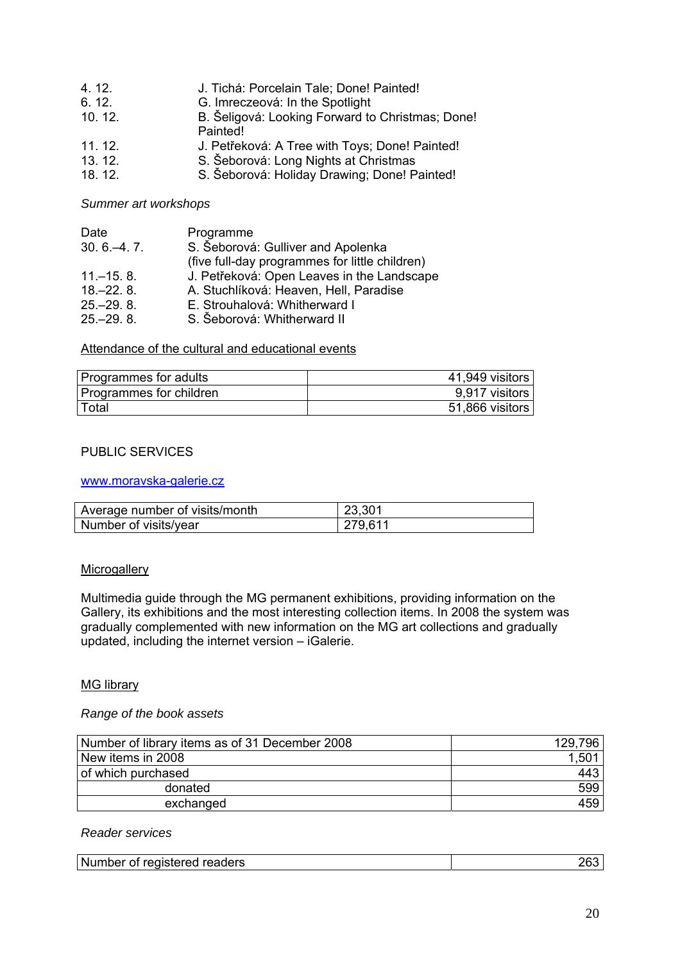| 4.12.  | J. Tichá: Porcelain Tale; Done! Painted!         |
|--------|--------------------------------------------------|
| 6.12.  | G. Imreczeová: In the Spotlight                  |
| 10.12. | B. Šeligová: Looking Forward to Christmas; Done! |
|        | Painted!                                         |
| 11.12. | J. Petřeková: A Tree with Toys; Done! Painted!   |
| 13.12. | S. Šeborová: Long Nights at Christmas            |
| 18.12. | S. Šeborová: Holiday Drawing; Done! Painted!     |

*Summer art workshops* 

| Date           | Programme                                      |
|----------------|------------------------------------------------|
| $30.6 - 4.7$ . | S. Šeborová: Gulliver and Apolenka             |
|                | (five full-day programmes for little children) |
| $11 - 15.8$ .  | J. Petřeková: Open Leaves in the Landscape     |
| $18,-22, 8.$   | A. Stuchlíková: Heaven, Hell, Paradise         |
| $25 - 29.8$    | E. Strouhalová: Whitherward I                  |
| $25 - 29.8$    | S. Šeborová: Whitherward II                    |

Attendance of the cultural and educational events

| Programmes for adults   | 41,949 visitors |
|-------------------------|-----------------|
| Programmes for children | 9,917 visitors  |
| Total                   | 51,866 visitors |

### PUBLIC SERVICES

www.moravska-galerie.cz

| Average number of visits/month | 23,301  |
|--------------------------------|---------|
| Number of visits/year          | 279,611 |

#### **Microgallery**

Multimedia guide through the MG permanent exhibitions, providing information on the Gallery, its exhibitions and the most interesting collection items. In 2008 the system was gradually complemented with new information on the MG art collections and gradually updated, including the internet version – iGalerie.

### MG library

### *Range of the book assets*

| Number of library items as of 31 December 2008 | 129,796 |
|------------------------------------------------|---------|
| New items in 2008                              | 1,50    |
| of which purchased                             | 443     |
| donated                                        | 599     |
| exchanged                                      | 459     |

## *Reader services*

| Number of registered readers<br>unpe,<br>,,,<br>cupici cu<br><b>CAUCIS</b> | " |
|----------------------------------------------------------------------------|---|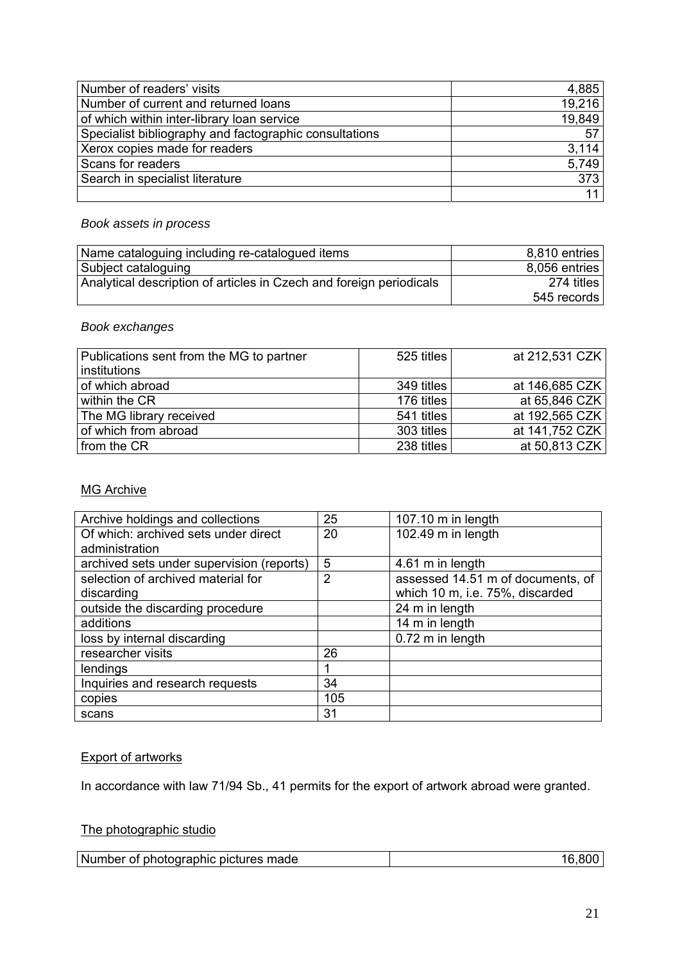| Number of readers' visits                              | 4,885  |
|--------------------------------------------------------|--------|
| Number of current and returned loans                   | 19,216 |
| of which within inter-library loan service             | 19,849 |
| Specialist bibliography and factographic consultations | 57     |
| Xerox copies made for readers                          | 3.114  |
| Scans for readers                                      | 5,749  |
| Search in specialist literature                        | 373    |
|                                                        |        |

# *Book assets in process*

| Name cataloguing including re-catalogued items                      | 8,810 entries |
|---------------------------------------------------------------------|---------------|
| Subject cataloguing                                                 | 8,056 entries |
| Analytical description of articles in Czech and foreign periodicals | 274 titles    |
|                                                                     | 545 records   |

# *Book exchanges*

| Publications sent from the MG to partner | 525 titles | at 212,531 CZK |
|------------------------------------------|------------|----------------|
| institutions                             |            |                |
| of which abroad                          | 349 titles | at 146,685 CZK |
| within the CR                            | 176 titles | at 65,846 CZK  |
| The MG library received                  | 541 titles | at 192,565 CZK |
| of which from abroad                     | 303 titles | at 141,752 CZK |
| from the CR                              | 238 titles | at 50,813 CZK  |

# **MG Archive**

| Archive holdings and collections          | 25  | 107.10 m in length                |
|-------------------------------------------|-----|-----------------------------------|
| Of which: archived sets under direct      | 20  | 102.49 m in length                |
| administration                            |     |                                   |
| archived sets under supervision (reports) | 5   | 4.61 m in length                  |
| selection of archived material for        | 2   | assessed 14.51 m of documents, of |
| discarding                                |     | which 10 m, i.e. 75%, discarded   |
| outside the discarding procedure          |     | 24 m in length                    |
| additions                                 |     | 14 m in length                    |
| loss by internal discarding               |     | 0.72 m in length                  |
| researcher visits                         | 26  |                                   |
| lendings                                  |     |                                   |
| Inquiries and research requests           | 34  |                                   |
| copies                                    | 105 |                                   |
| scans                                     | 31  |                                   |

# **Export of artworks**

In accordance with law 71/94 Sb., 41 permits for the export of artwork abroad were granted.

# The photographic studio

| Number of photographic pictures made |  |
|--------------------------------------|--|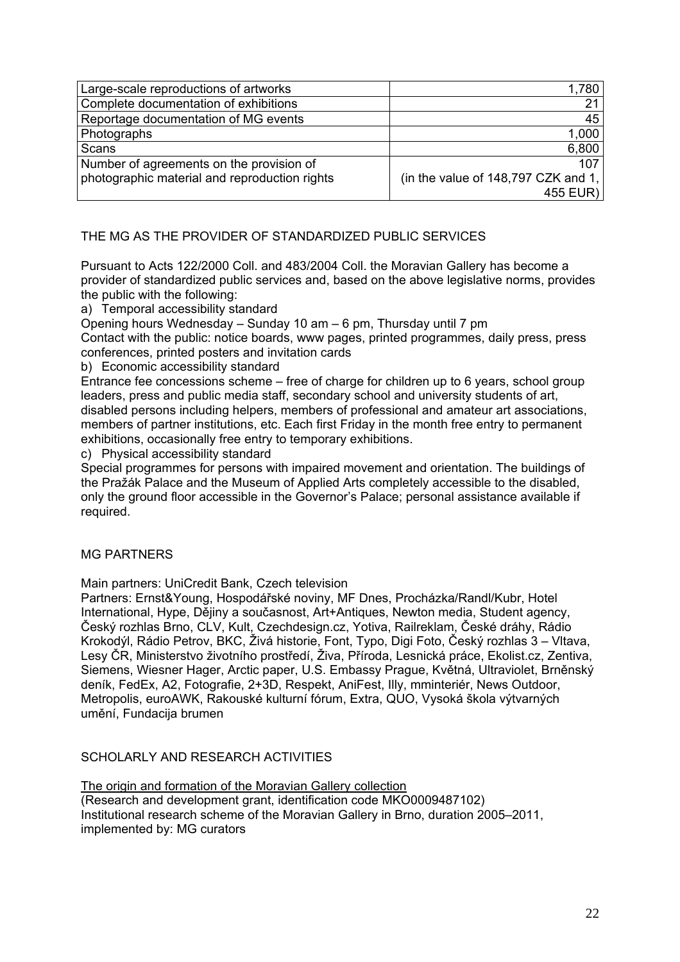| Large-scale reproductions of artworks         | 1,780                                 |
|-----------------------------------------------|---------------------------------------|
| Complete documentation of exhibitions         | 21                                    |
| Reportage documentation of MG events          | 45                                    |
| Photographs                                   | 1,000                                 |
| Scans                                         | 6,800                                 |
| Number of agreements on the provision of      | 107                                   |
| photographic material and reproduction rights | (in the value of $148,797$ CZK and 1, |
|                                               | 455 EUR)                              |

## THE MG AS THE PROVIDER OF STANDARDIZED PUBLIC SERVICES

Pursuant to Acts 122/2000 Coll. and 483/2004 Coll. the Moravian Gallery has become a provider of standardized public services and, based on the above legislative norms, provides the public with the following:

## a) Temporal accessibility standard

Opening hours Wednesday – Sunday 10 am – 6 pm, Thursday until 7 pm

Contact with the public: notice boards, www pages, printed programmes, daily press, press conferences, printed posters and invitation cards

b) Economic accessibility standard

Entrance fee concessions scheme – free of charge for children up to 6 years, school group leaders, press and public media staff, secondary school and university students of art, disabled persons including helpers, members of professional and amateur art associations, members of partner institutions, etc. Each first Friday in the month free entry to permanent exhibitions, occasionally free entry to temporary exhibitions.

c) Physical accessibility standard

Special programmes for persons with impaired movement and orientation. The buildings of the Pražák Palace and the Museum of Applied Arts completely accessible to the disabled, only the ground floor accessible in the Governor's Palace; personal assistance available if required.

## MG PARTNERS

Main partners: UniCredit Bank, Czech television

Partners: Ernst&Young, Hospodářské noviny, MF Dnes, Procházka/Randl/Kubr, Hotel International, Hype, Dějiny a současnost, Art+Antiques, Newton media, Student agency, Český rozhlas Brno, CLV, Kult, Czechdesign.cz, Yotiva, Railreklam, České dráhy, Rádio Krokodýl, Rádio Petrov, BKC, Živá historie, Font, Typo, Digi Foto, Český rozhlas 3 – Vltava, Lesy ČR, Ministerstvo životního prostředí, Živa, Příroda, Lesnická práce, Ekolist.cz, Zentiva, Siemens, Wiesner Hager, Arctic paper, U.S. Embassy Prague, Květná, Ultraviolet, Brněnský deník, FedEx, A2, Fotografie, 2+3D, Respekt, AniFest, Illy, mminteriér, News Outdoor, Metropolis, euroAWK, Rakouské kulturní fórum, Extra, QUO, Vysoká škola výtvarných umění, Fundacija brumen

# SCHOLARLY AND RESEARCH ACTIVITIES

The origin and formation of the Moravian Gallery collection (Research and development grant, identification code MKO0009487102) Institutional research scheme of the Moravian Gallery in Brno, duration 2005–2011, implemented by: MG curators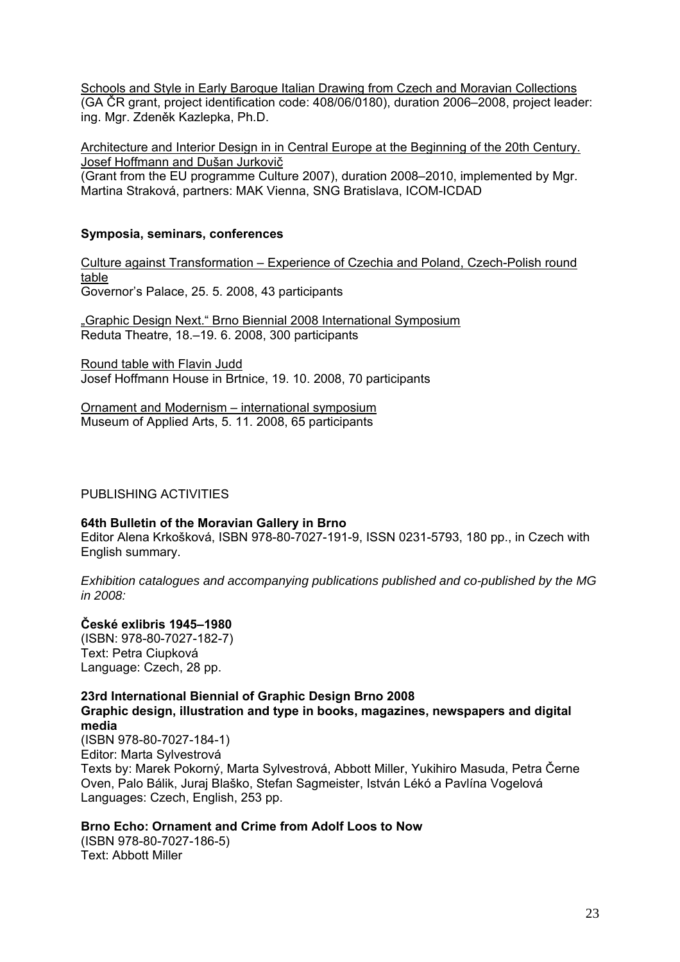Schools and Style in Early Baroque Italian Drawing from Czech and Moravian Collections (GA ČR grant, project identification code: 408/06/0180), duration 2006–2008, project leader: ing. Mgr. Zdeněk Kazlepka, Ph.D.

Architecture and Interior Design in in Central Europe at the Beginning of the 20th Century. Josef Hoffmann and Dušan Jurkovič

(Grant from the EU programme Culture 2007), duration 2008–2010, implemented by Mgr. Martina Straková, partners: MAK Vienna, SNG Bratislava, ICOM-ICDAD

#### **Symposia, seminars, conferences**

Culture against Transformation – Experience of Czechia and Poland, Czech-Polish round table Governor's Palace, 25. 5. 2008, 43 participants

"Graphic Design Next." Brno Biennial 2008 International Symposium Reduta Theatre, 18.–19. 6. 2008, 300 participants

Round table with Flavin Judd Josef Hoffmann House in Brtnice, 19. 10. 2008, 70 participants

Ornament and Modernism – international symposium Museum of Applied Arts, 5. 11. 2008, 65 participants

PUBLISHING ACTIVITIES

#### **64th Bulletin of the Moravian Gallery in Brno**

Editor Alena Krkošková, ISBN 978-80-7027-191-9, ISSN 0231-5793, 180 pp., in Czech with English summary.

*Exhibition catalogues and accompanying publications published and co-published by the MG in 2008:* 

## **České exlibris 1945–1980**

(ISBN: 978-80-7027-182-7) Text: Petra Ciupková Language: Czech, 28 pp.

**23rd International Biennial of Graphic Design Brno 2008 Graphic design, illustration and type in books, magazines, newspapers and digital media** 

(ISBN 978-80-7027-184-1) Editor: Marta Sylvestrová Texts by: Marek Pokorný, Marta Sylvestrová, Abbott Miller, Yukihiro Masuda, Petra Černe Oven, Palo Bálik, Juraj Blaško, Stefan Sagmeister, István Lékó a Pavlína Vogelová Languages: Czech, English, 253 pp.

## **Brno Echo: Ornament and Crime from Adolf Loos to Now**

(ISBN 978-80-7027-186-5) Text: Abbott Miller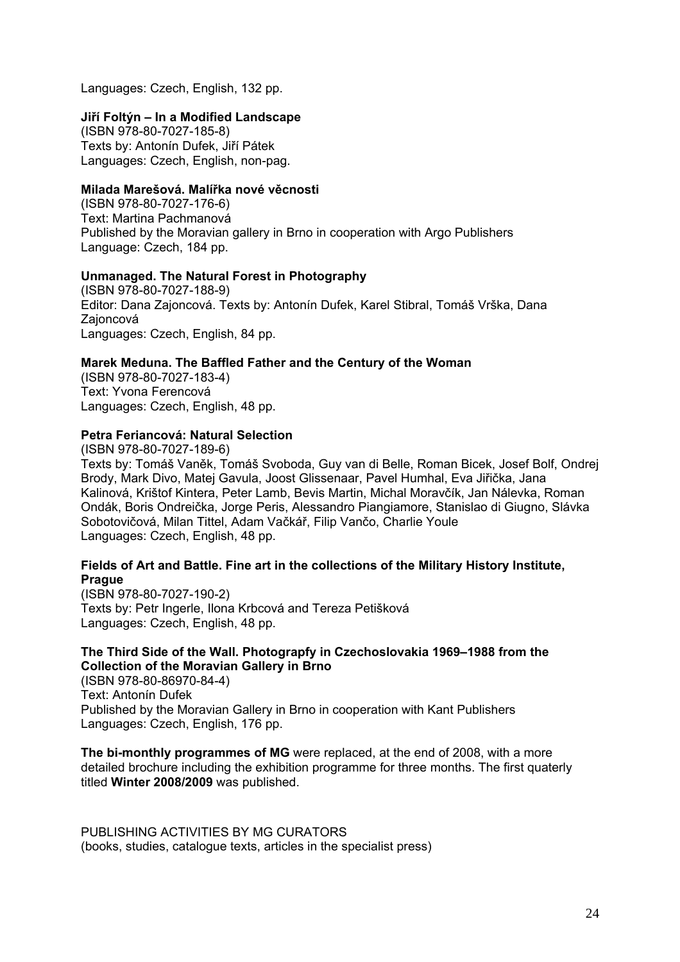Languages: Czech, English, 132 pp.

### **Jiří Foltýn – In a Modified Landscape**

(ISBN 978-80-7027-185-8) Texts by: Antonín Dufek, Jiří Pátek Languages: Czech, English, non-pag.

### **Milada Marešová. Malířka nové věcnosti**

(ISBN 978-80-7027-176-6) Text: Martina Pachmanová Published by the Moravian gallery in Brno in cooperation with Argo Publishers Language: Czech, 184 pp.

### **Unmanaged. The Natural Forest in Photography**

(ISBN 978-80-7027-188-9) Editor: Dana Zajoncová. Texts by: Antonín Dufek, Karel Stibral, Tomáš Vrška, Dana Zajoncová Languages: Czech, English, 84 pp.

### **Marek Meduna. The Baffled Father and the Century of the Woman**

(ISBN 978-80-7027-183-4) Text: Yvona Ferencová Languages: Czech, English, 48 pp.

## **Petra Feriancová: Natural Selection**

(ISBN 978-80-7027-189-6) Texts by: Tomáš Vaněk, Tomáš Svoboda, Guy van di Belle, Roman Bicek, Josef Bolf, Ondrej Brody, Mark Divo, Matej Gavula, Joost Glissenaar, Pavel Humhal, Eva Jiřička, Jana Kalinová, Krištof Kintera, Peter Lamb, Bevis Martin, Michal Moravčík, Jan Nálevka, Roman Ondák, Boris Ondreička, Jorge Peris, Alessandro Piangiamore, Stanislao di Giugno, Slávka Sobotovičová, Milan Tittel, Adam Vačkář, Filip Vančo, Charlie Youle Languages: Czech, English, 48 pp.

### **Fields of Art and Battle. Fine art in the collections of the Military History Institute, Prague**

(ISBN 978-80-7027-190-2) Texts by: Petr Ingerle, Ilona Krbcová and Tereza Petišková Languages: Czech, English, 48 pp.

## **The Third Side of the Wall. Photograpfy in Czechoslovakia 1969–1988 from the Collection of the Moravian Gallery in Brno**

(ISBN 978-80-86970-84-4) Text: Antonín Dufek Published by the Moravian Gallery in Brno in cooperation with Kant Publishers Languages: Czech, English, 176 pp.

**The bi-monthly programmes of MG** were replaced, at the end of 2008, with a more detailed brochure including the exhibition programme for three months. The first quaterly titled **Winter 2008/2009** was published.

PUBLISHING ACTIVITIES BY MG CURATORS (books, studies, catalogue texts, articles in the specialist press)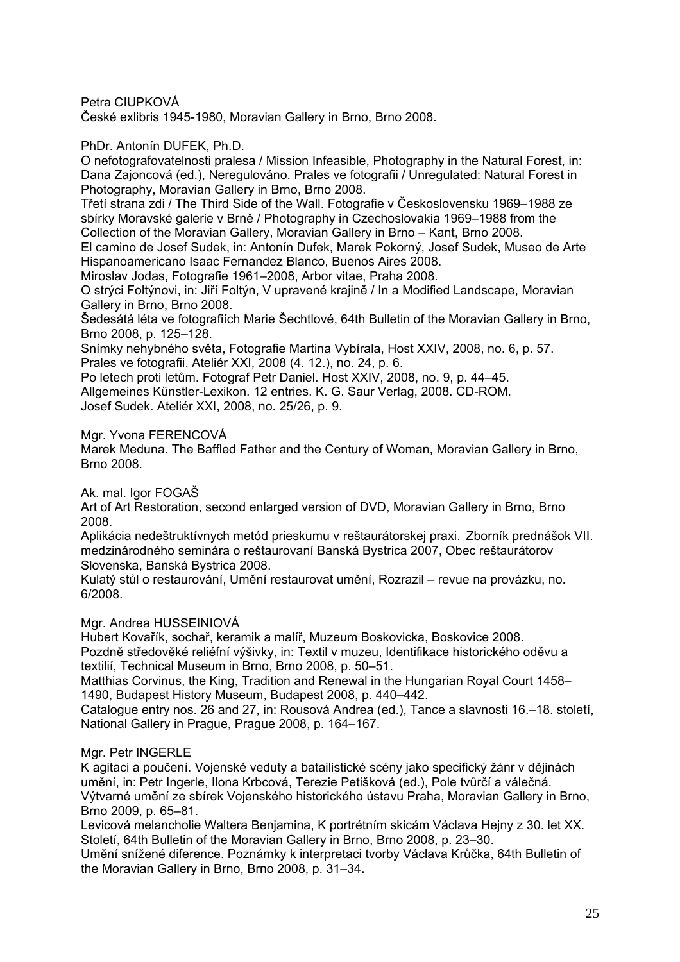Petra CIUPKOVÁ

České exlibris 1945-1980, Moravian Gallery in Brno, Brno 2008.

PhDr. Antonín DUFEK, Ph.D.

O nefotografovatelnosti pralesa / Mission Infeasible, Photography in the Natural Forest, in: Dana Zajoncová (ed.), Neregulováno. Prales ve fotografii / Unregulated: Natural Forest in Photography, Moravian Gallery in Brno, Brno 2008.

Třetí strana zdi / The Third Side of the Wall. Fotografie v Československu 1969–1988 ze sbírky Moravské galerie v Brně / Photography in Czechoslovakia 1969–1988 from the Collection of the Moravian Gallery, Moravian Gallery in Brno – Kant, Brno 2008.

El camino de Josef Sudek, in: Antonín Dufek, Marek Pokorný, Josef Sudek, Museo de Arte Hispanoamericano Isaac Fernandez Blanco, Buenos Aires 2008.

Miroslav Jodas, Fotografie 1961–2008, Arbor vitae, Praha 2008.

O strýci Foltýnovi, in: Jiří Foltýn, V upravené krajině / In a Modified Landscape, Moravian Gallery in Brno, Brno 2008.

Šedesátá léta ve fotografiích Marie Šechtlové, 64th Bulletin of the Moravian Gallery in Brno, Brno 2008, p. 125–128.

Snímky nehybného světa, Fotografie Martina Vybírala, Host XXIV, 2008, no. 6, p. 57. Prales ve fotografii. Ateliér XXI, 2008 (4. 12.), no. 24, p. 6.

Po letech proti letům. Fotograf Petr Daniel. Host XXIV, 2008, no. 9, p. 44–45.

Allgemeines Künstler-Lexikon. 12 entries. K. G. Saur Verlag, 2008. CD-ROM.

Josef Sudek. Ateliér XXI, 2008, no. 25/26, p. 9.

Mgr. Yvona FERENCOVÁ

Marek Meduna. The Baffled Father and the Century of Woman, Moravian Gallery in Brno, Brno 2008.

Ak. mal. Igor FOGAŠ

Art of Art Restoration, second enlarged version of DVD, Moravian Gallery in Brno, Brno 2008.

Aplikácia nedeštruktívnych metód prieskumu v reštaurátorskej praxi. Zborník prednášok VII. medzinárodného seminára o reštaurovaní Banská Bystrica 2007, Obec reštaurátorov Slovenska, Banská Bystrica 2008.

Kulatý stůl o restaurování, Umění restaurovat umění, Rozrazil – revue na provázku, no. 6/2008.

Mgr. Andrea HUSSEINIOVÁ

Hubert Kovařík, sochař, keramik a malíř, Muzeum Boskovicka, Boskovice 2008. Pozdně středověké reliéfní výšivky, in: Textil v muzeu, Identifikace historického oděvu a textilií, Technical Museum in Brno, Brno 2008, p. 50–51.

Matthias Corvinus, the King, Tradition and Renewal in the Hungarian Royal Court 1458– 1490, Budapest History Museum, Budapest 2008, p. 440–442.

Catalogue entry nos. 26 and 27, in: Rousová Andrea (ed.), Tance a slavnosti 16.–18. století, National Gallery in Prague, Prague 2008, p. 164–167.

## Mgr. Petr INGERLE

K agitaci a poučení. Vojenské veduty a batailistické scény jako specifický žánr v dějinách umění, in: Petr Ingerle, Ilona Krbcová, Terezie Petišková (ed.), Pole tvůrčí a válečná. Výtvarné umění ze sbírek Vojenského historického ústavu Praha, Moravian Gallery in Brno, Brno 2009, p. 65–81.

Levicová melancholie Waltera Benjamina, K portrétním skicám Václava Hejny z 30. let XX. Století, 64th Bulletin of the Moravian Gallery in Brno, Brno 2008, p. 23–30.

Umění snížené diference. Poznámky k interpretaci tvorby Václava Krůčka, 64th Bulletin of the Moravian Gallery in Brno, Brno 2008, p. 31–34**.**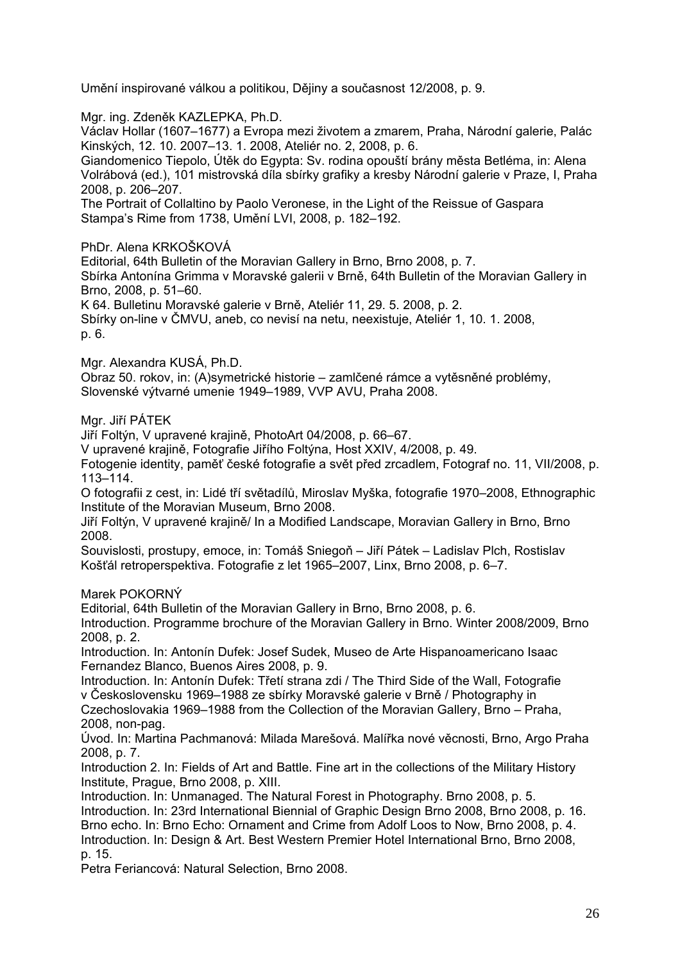Umění inspirované válkou a politikou, Dějiny a současnost 12/2008, p. 9.

Mgr. ing. Zdeněk KAZLEPKA, Ph.D.

Václav Hollar (1607–1677) a Evropa mezi životem a zmarem, Praha, Národní galerie, Palác Kinských, 12. 10. 2007–13. 1. 2008, Ateliér no. 2, 2008, p. 6.

Giandomenico Tiepolo, Útěk do Egypta: Sv. rodina opouští brány města Betléma, in: Alena Volrábová (ed.), 101 mistrovská díla sbírky grafiky a kresby Národní galerie v Praze, I, Praha 2008, p. 206–207.

The Portrait of Collaltino by Paolo Veronese, in the Light of the Reissue of Gaspara Stampa's Rime from 1738, Umění LVI, 2008, p. 182–192.

PhDr. Alena KRKOŠKOVÁ

Editorial, 64th Bulletin of the Moravian Gallery in Brno, Brno 2008, p. 7. Sbírka Antonína Grimma v Moravské galerii v Brně, 64th Bulletin of the Moravian Gallery in Brno, 2008, p. 51–60.

K 64. Bulletinu Moravské galerie v Brně, Ateliér 11, 29. 5. 2008, p. 2. Sbírky on-line v ČMVU, aneb, co nevisí na netu, neexistuje, Ateliér 1, 10. 1. 2008, p. 6.

Mgr. Alexandra KUSÁ, Ph.D.

Obraz 50. rokov, in: (A)symetrické historie – zamlčené rámce a vytěsněné problémy, Slovenské výtvarné umenie 1949–1989, VVP AVU, Praha 2008.

Mgr. Jiří PÁTEK

Jiří Foltýn, V upravené krajině, PhotoArt 04/2008, p. 66–67.

V upravené krajině, Fotografie Jiřího Foltýna, Host XXIV, 4/2008, p. 49.

Fotogenie identity, paměť české fotografie a svět před zrcadlem, Fotograf no. 11, VII/2008, p. 113–114.

O fotografii z cest, in: Lidé tří světadílů, Miroslav Myška, fotografie 1970–2008, Ethnographic Institute of the Moravian Museum, Brno 2008.

Jiří Foltýn, V upravené krajině/ In a Modified Landscape, Moravian Gallery in Brno, Brno 2008.

Souvislosti, prostupy, emoce, in: Tomáš Sniegoň – Jiří Pátek – Ladislav Plch, Rostislav Košťál retroperspektiva. Fotografie z let 1965–2007, Linx, Brno 2008, p. 6–7.

Marek POKORNÝ

Editorial, 64th Bulletin of the Moravian Gallery in Brno, Brno 2008, p. 6.

Introduction. Programme brochure of the Moravian Gallery in Brno. Winter 2008/2009, Brno 2008, p. 2.

Introduction. In: Antonín Dufek: Josef Sudek, Museo de Arte Hispanoamericano Isaac Fernandez Blanco, Buenos Aires 2008, p. 9.

Introduction. In: Antonín Dufek: Třetí strana zdi / The Third Side of the Wall, Fotografie v Československu 1969–1988 ze sbírky Moravské galerie v Brně / Photography in Czechoslovakia 1969–1988 from the Collection of the Moravian Gallery, Brno – Praha, 2008, non-pag.

Úvod. In: Martina Pachmanová: Milada Marešová. Malířka nové věcnosti, Brno, Argo Praha 2008, p. 7.

Introduction 2. In: Fields of Art and Battle. Fine art in the collections of the Military History Institute, Prague, Brno 2008, p. XIII.

Introduction. In: Unmanaged. The Natural Forest in Photography. Brno 2008, p. 5. Introduction. In: 23rd International Biennial of Graphic Design Brno 2008, Brno 2008, p. 16. Brno echo. In: Brno Echo: Ornament and Crime from Adolf Loos to Now, Brno 2008, p. 4. Introduction. In: Design & Art. Best Western Premier Hotel International Brno, Brno 2008, p. 15.

Petra Feriancová: Natural Selection, Brno 2008.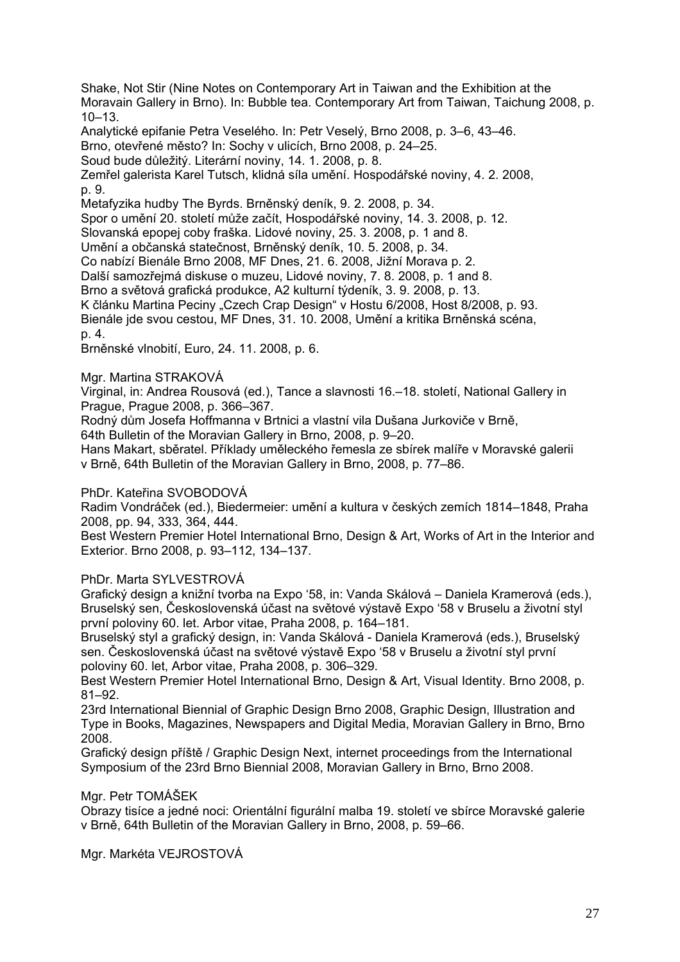Shake, Not Stir (Nine Notes on Contemporary Art in Taiwan and the Exhibition at the Moravain Gallery in Brno). In: Bubble tea. Contemporary Art from Taiwan, Taichung 2008, p. 10–13.

Analytické epifanie Petra Veselého. In: Petr Veselý, Brno 2008, p. 3–6, 43–46.

Brno, otevřené město? In: Sochy v ulicích, Brno 2008, p. 24–25.

Soud bude důležitý. Literární noviny, 14. 1. 2008, p. 8.

Zemřel galerista Karel Tutsch, klidná síla umění. Hospodářské noviny, 4. 2. 2008, p. 9.

Metafyzika hudby The Byrds. Brněnský deník, 9. 2. 2008, p. 34.

Spor o umění 20. století může začít, Hospodářské noviny, 14. 3. 2008, p. 12.

Slovanská epopej coby fraška. Lidové noviny, 25. 3. 2008, p. 1 and 8.

Umění a občanská statečnost, Brněnský deník, 10. 5. 2008, p. 34.

Co nabízí Bienále Brno 2008, MF Dnes, 21. 6. 2008, Jižní Morava p. 2.

Další samozřejmá diskuse o muzeu, Lidové noviny, 7. 8. 2008, p. 1 and 8.

Brno a světová grafická produkce, A2 kulturní týdeník, 3. 9. 2008, p. 13.

K článku Martina Peciny "Czech Crap Design" v Hostu 6/2008, Host 8/2008, p. 93.

Bienále jde svou cestou, MF Dnes, 31. 10. 2008, Umění a kritika Brněnská scéna, p. 4.

Brněnské vlnobití, Euro, 24. 11. 2008, p. 6.

Mgr. Martina STRAKOVÁ

Virginal, in: Andrea Rousová (ed.), Tance a slavnosti 16.–18. století, National Gallery in Prague, Prague 2008, p. 366–367.

Rodný dům Josefa Hoffmanna v Brtnici a vlastní vila Dušana Jurkoviče v Brně,

64th Bulletin of the Moravian Gallery in Brno, 2008, p. 9–20.

Hans Makart, sběratel. Příklady uměleckého řemesla ze sbírek malíře v Moravské galerii v Brně, 64th Bulletin of the Moravian Gallery in Brno, 2008, p. 77–86.

#### PhDr. Kateřina SVOBODOVÁ

Radim Vondráček (ed.), Biedermeier: umění a kultura v českých zemích 1814–1848, Praha 2008, pp. 94, 333, 364, 444.

Best Western Premier Hotel International Brno, Design & Art, Works of Art in the Interior and Exterior. Brno 2008, p. 93–112, 134–137.

#### PhDr. Marta SYLVESTROVÁ

Grafický design a knižní tvorba na Expo '58, in: Vanda Skálová – Daniela Kramerová (eds.), Bruselský sen, Československá účast na světové výstavě Expo '58 v Bruselu a životní styl první poloviny 60. let. Arbor vitae, Praha 2008, p. 164–181.

Bruselský styl a grafický design, in: Vanda Skálová - Daniela Kramerová (eds.), Bruselský sen. Československá účast na světové výstavě Expo '58 v Bruselu a životní styl první poloviny 60. let, Arbor vitae, Praha 2008, p. 306–329.

Best Western Premier Hotel International Brno, Design & Art, Visual Identity. Brno 2008, p. 81–92.

23rd International Biennial of Graphic Design Brno 2008, Graphic Design, Illustration and Type in Books, Magazines, Newspapers and Digital Media, Moravian Gallery in Brno, Brno 2008.

Grafický design příště / Graphic Design Next, internet proceedings from the International Symposium of the 23rd Brno Biennial 2008, Moravian Gallery in Brno, Brno 2008.

#### Mgr. Petr TOMÁŠEK

Obrazy tisíce a jedné noci: Orientální figurální malba 19. století ve sbírce Moravské galerie v Brně, 64th Bulletin of the Moravian Gallery in Brno, 2008, p. 59–66.

Mgr. Markéta VEJROSTOVÁ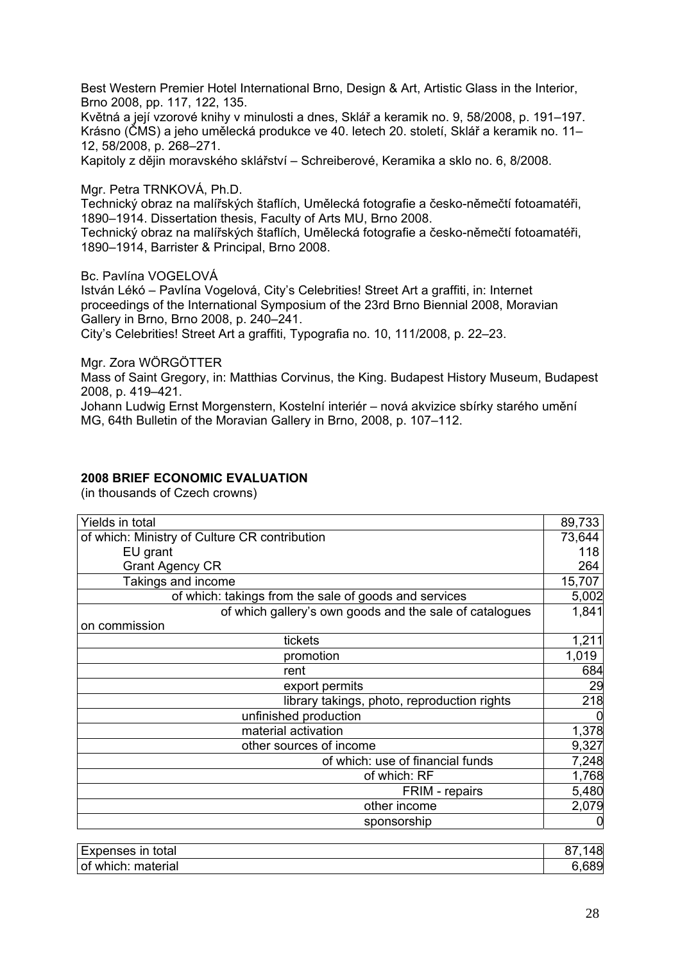Best Western Premier Hotel International Brno, Design & Art, Artistic Glass in the Interior, Brno 2008, pp. 117, 122, 135.

Květná a její vzorové knihy v minulosti a dnes, Sklář a keramik no. 9, 58/2008, p. 191–197. Krásno (ČMS) a jeho umělecká produkce ve 40. letech 20. století, Sklář a keramik no. 11– 12, 58/2008, p. 268–271.

Kapitoly z dějin moravského sklářství – Schreiberové, Keramika a sklo no. 6, 8/2008.

Mgr. Petra TRNKOVÁ, Ph.D.

Technický obraz na malířských štaflích, Umělecká fotografie a česko-němečtí fotoamatéři, 1890–1914. Dissertation thesis, Faculty of Arts MU, Brno 2008.

Technický obraz na malířských štaflích, Umělecká fotografie a česko-němečtí fotoamatéři, 1890–1914, Barrister & Principal, Brno 2008.

Bc. Pavlína VOGELOVÁ

István Lékó – Pavlína Vogelová, City's Celebrities! Street Art a graffiti, in: Internet proceedings of the International Symposium of the 23rd Brno Biennial 2008, Moravian Gallery in Brno, Brno 2008, p. 240–241.

City's Celebrities! Street Art a graffiti, Typografia no. 10, 111/2008, p. 22–23.

Mgr. Zora WÖRGÖTTER

Mass of Saint Gregory, in: Matthias Corvinus, the King. Budapest History Museum, Budapest 2008, p. 419–421.

Johann Ludwig Ernst Morgenstern, Kostelní interiér – nová akvizice sbírky starého umění MG, 64th Bulletin of the Moravian Gallery in Brno, 2008, p. 107–112.

#### **2008 BRIEF ECONOMIC EVALUATION**

(in thousands of Czech crowns)

| Yields in total                                         | 89,733 |
|---------------------------------------------------------|--------|
| of which: Ministry of Culture CR contribution           | 73,644 |
| EU grant                                                | 118    |
| <b>Grant Agency CR</b>                                  | 264    |
| Takings and income                                      | 15,707 |
| of which: takings from the sale of goods and services   | 5,002  |
| of which gallery's own goods and the sale of catalogues | 1,841  |
| on commission                                           |        |
| tickets                                                 | 1,211  |
| promotion                                               | 1,019  |
| rent                                                    | 684    |
| export permits                                          | 29     |
| library takings, photo, reproduction rights             | 218    |
| unfinished production                                   |        |
| material activation                                     | 1,378  |
| other sources of income                                 | 9,327  |
| of which: use of financial funds                        | 7,248  |
| of which: RF                                            | 1,768  |
| FRIM - repairs                                          | 5,480  |
| other income                                            | 2,079  |
| sponsorship                                             |        |

| -<br>total<br><b>Expenses</b><br>$\overline{m}$<br> | ำด⊢<br>o |
|-----------------------------------------------------|----------|
| material<br>∵which:<br>⊺of                          | 89ز      |